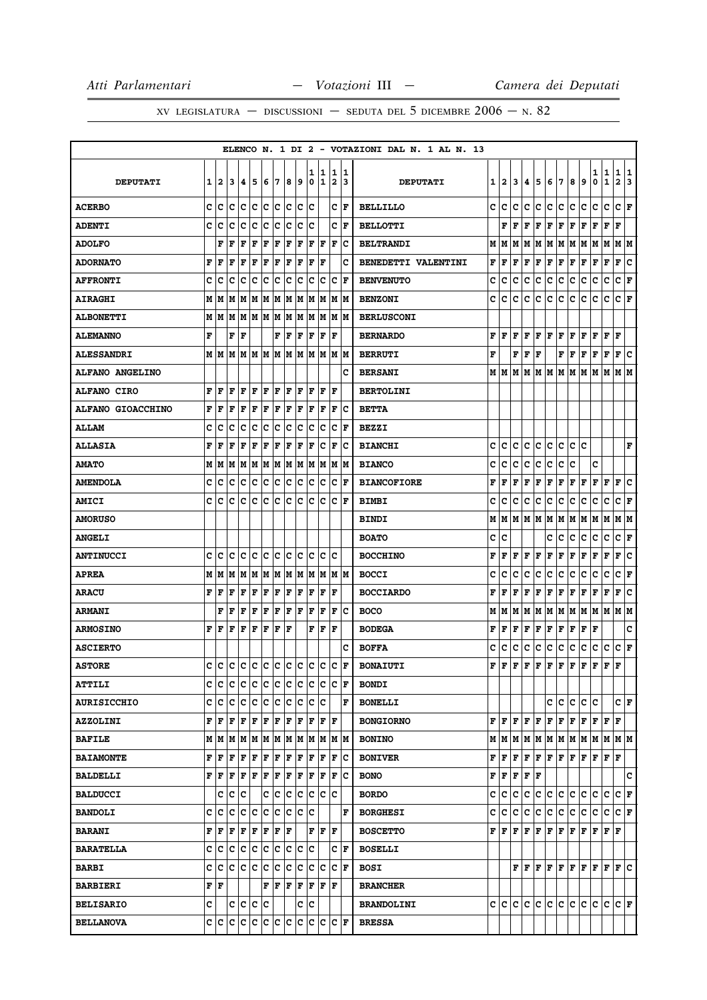|                          |   |    |    |   |             |     |                   |     |       |             |                   |                              |        | ELENCO N. 1 DI 2 - VOTAZIONI DAL N. 1 AL N. 13 |   |                           |     |                      |     |               |         |     |     |                                                                 |                   |                      |        |
|--------------------------|---|----|----|---|-------------|-----|-------------------|-----|-------|-------------|-------------------|------------------------------|--------|------------------------------------------------|---|---------------------------|-----|----------------------|-----|---------------|---------|-----|-----|-----------------------------------------------------------------|-------------------|----------------------|--------|
| <b>DEPUTATI</b>          | 1 | 2  | 3  | 4 | 5           | 6   | 7                 | 8   | 9     | 1<br>0      | 1<br>1            | 1<br>$\overline{\mathbf{2}}$ | 1<br>3 | <b>DEPUTATI</b>                                | 1 | 2                         | 3   | 4                    | 5   | 6             | 17      | 8   | 9   | 1<br>0                                                          | 1<br>$\mathbf{1}$ | 1<br>$\mathbf{2}$    | 1<br>3 |
| <b>ACERBO</b>            | c | c  | c  | с | c           | c   | с                 | c   | с     | c           |                   | c                            | F      | <b>BELLILLO</b>                                | c | с                         | c   | c                    | с   | c             | c       | с   | с   | c                                                               | c                 | c                    | F      |
| <b>ADENTI</b>            | c | с  | с  | c | c           | c   | c                 | c   | c     | c           |                   | c                            | F      | <b>BELLOTTI</b>                                |   | F                         | F   | F                    | F   | F             | F       | F   | F   | F                                                               | F                 | F                    |        |
| <b>ADOLFO</b>            |   | F  | ΙF | F | F           | F   | F                 | F   | F     | F           | F                 | $\mathbf F$                  | Ιc     | <b>BELTRANDI</b>                               | М | M                         | M   | M                    |     | M   M   M     |         | M M |     | M                                                               | M                 | M  M                 |        |
| <b>ADORNATO</b>          | F | F  | F  | F | F           | F   | F                 | F   | F     | F           | F                 |                              | c      | BENEDETTI VALENTINI                            | F | F                         | F   | F                    | Г   | Г             | F       | Г   | F   | Г                                                               | F                 | F                    | Ιc     |
| <b>AFFRONTI</b>          | c | Iс | c  | c | c           | c   | c                 | c   | c     | c           | Ιc                | c                            | l F    | <b>BENVENUTO</b>                               | c | с                         | c   | c                    | c   | c             | c       | c   | с   | c                                                               | c                 | c                    | F      |
| <b>AIRAGHI</b>           | Μ | M  | M  | M | M           | M   | М                 | M   | M     |             | M M               | M M                          |        | <b>BENZONI</b>                                 | c | c                         | c   | c                    | c   | c             | c       | c   | c   | c                                                               | c                 | C F                  |        |
| <b>ALBONETTI</b>         | М | M  | M  | M | M           | M   | М                 | M   | M     | M           | M                 | M M                          |        | <b>BERLUSCONI</b>                              |   |                           |     |                      |     |               |         |     |     |                                                                 |                   |                      |        |
| <b>ALEMANNO</b>          | F |    | F  | F |             |     | F                 | F   | F     | F           | F                 | F                            |        | <b>BERNARDO</b>                                | F | F                         | F   |                      |     | F F F F       |         | F F |     | $\bf{F}$ $\bf{F}$ $\bf{F}$                                      |                   |                      |        |
| <b>ALESSANDRI</b>        | М | M  | M  | M | M           | M   | М                 | M   | М     | M           | M                 | M                            | lм     | <b>BERRUTI</b>                                 | F |                           | F   | F                    | F   |               | F       | F   | Г   | F                                                               | F                 | F                    | с      |
| <b>ALFANO ANGELINO</b>   |   |    |    |   |             |     |                   |     |       |             |                   |                              | c      | <b>BERSANI</b>                                 |   | MMMM                      |     |                      |     |               |         |     |     | M  M  M  M  M  M  M                                             |                   | M  M                 |        |
| <b>ALFANO CIRO</b>       | F | F  | F  | F | ΙF          | F   | F                 | F   | F     | F           | F                 | F                            |        | <b>BERTOLINI</b>                               |   |                           |     |                      |     |               |         |     |     |                                                                 |                   |                      |        |
| <b>ALFANO GIOACCHINO</b> | F | F  | F  | F | F           | F   | F                 | F   | F     | F           | F                 | F                            | Ιc     | <b>BETTA</b>                                   |   |                           |     |                      |     |               |         |     |     |                                                                 |                   |                      |        |
| <b>ALLAM</b>             | c | c  | c  | c | с           | c   | с                 | c   | c     | c           | Iс                | c                            | ΙF     | <b>BEZZI</b>                                   |   |                           |     |                      |     |               |         |     |     |                                                                 |                   |                      |        |
| <b>ALLASIA</b>           | F | F  | F  | F | F           | F   | F                 | F   | F     | F           | c                 | F                            | Ιc     | <b>BIANCHI</b>                                 | c | c                         | c   | c                    | c   | с             | с       | с   | c   |                                                                 |                   |                      | F      |
| <b>AMATO</b>             | M | M  | M  | М | M           |     | M M               |     | MM    |             | M M               | M M                          |        | <b>BIANCO</b>                                  | с | с                         | с   | с                    | с   | c             | c       | c   |     | c                                                               |                   |                      |        |
| <b>AMENDOLA</b>          | c | c  | c  | c | c           | c   | c                 | c   | c     | lc.         | c                 | c                            | F      | <b>BIANCOFIORE</b>                             | F | F                         | F   | F                    | Г   | F             | F       | F   | F   | F                                                               | F                 | F                    | c      |
| <b>AMICI</b>             | C | c  | c  | c | lc.         | lc. | c                 | lc. | lc.   | lc.         | lc.               | c                            | l F    | <b>BIMBI</b>                                   | c | c                         | c   | c                    | c   | c             | c       | c   | с   | c                                                               | c                 | c                    | F      |
| <b>AMORUSO</b>           |   |    |    |   |             |     |                   |     |       |             |                   |                              |        | <b>BINDI</b>                                   | М | M                         |     |                      |     | M  M  M  M  M |         | M M |     | M M                                                             |                   | M  M                 |        |
| <b>ANGELI</b>            |   |    |    |   |             |     |                   |     |       |             |                   |                              |        | <b>BOATO</b>                                   | c | C                         |     |                      |     | c             | с       | c   | c   | c                                                               | c                 | c                    | F      |
| <b>ANTINUCCI</b>         | c | с  | с  | c | lc.         | lc. | c                 | lc. | lC.   | lc.         | lc.               | lc.                          |        | <b>BOCCHINO</b>                                | F | F                         | F   | F                    | F   | F             | F       | F   | F   | F                                                               | F                 | F                    | Iс     |
| <b>APREA</b>             | М | M  | M  | M | М           | M   | М                 | M   | M     | M           | M                 | M   M                        |        | <b>BOCCI</b>                                   | c | c                         | c   | c                    | с   | c             | с       | с   | c   | с                                                               | с                 | c                    | F      |
| <b>ARACU</b>             | F | F  | F  | F | F           | F   | F                 | F   | F     | F           | F                 | F                            |        | <b>BOCCIARDO</b>                               | F | F                         | F   | F                    | Г   | F             | F       | F   | F   | F                                                               | F                 | F                    | ∣c     |
| <b>ARMANI</b>            |   | F  | F  | F | $\mathbf F$ | F   | $\mathbf F$       | F   | F     | F           | F                 | $\mathbf F$                  | Ιc     | <b>BOCO</b>                                    | М | м                         | M   | M                    |     | M   M   M     |         | M   | M   | M M                                                             |                   | M  M                 |        |
| <b>ARMOSINO</b>          | F | F  | F  | F | F           | F   | $\mathbf F$       | F   |       | F           | F                 | l F                          |        | <b>BODEGA</b>                                  | F | F                         | F   | F                    | г   | F             | F       | F   | Г   | F                                                               |                   |                      | C      |
| <b>ASCIERTO</b>          |   |    |    |   |             |     |                   |     |       |             |                   |                              | c      | <b>BOFFA</b>                                   | c | c                         | c   | с                    | c   | с             | c       | с   | c   | c                                                               | c                 | c                    | F      |
| <b>ASTORE</b>            | c | Iс | c  | c | Iс          | lc. | c                 | lc. | c     | lc.         | lc.               | c                            | l F    | <b>BONAIUTI</b>                                | F | F                         | F   | F                    | F   | F             | F       | F   | F   | F                                                               | $\mathbf F$       | F                    |        |
| <b>ATTILI</b>            | c | c  | Iс | с | lc.         | lc. |                   | c c | c c   |             | lc.               | $ {\bf C}  {\bf F} $         |        | <b>BONDI</b>                                   |   |                           |     |                      |     |               |         |     |     |                                                                 |                   |                      |        |
| <b>AURISICCHIO</b>       | c | с  | c  | c | c           | c   | c                 | IС  | c     | Iс          | Ιc                |                              | F      | <b>BONELLI</b>                                 |   |                           |     |                      |     | с             | c       | c   | c   | с                                                               |                   | C F                  |        |
| <b>AZZOLINI</b>          | F | F  | F  | F | F           | F   | F                 | F F |       | F           | F                 | F                            |        | <b>BONGIORNO</b>                               |   | ${\bf F}$ $\bf F$ $\bf F$ |     | F F                  |     |               |         |     |     | $ {\bf F}\, {\bf F}\, {\bf F}\, {\bf F}\, {\bf F}\, {\bf F}\, $ |                   | F                    |        |
| <b>BAFILE</b>            | М | M  | M  | M |             |     |                   |     |       |             | м м м м м м м м м |                              |        | <b>BONINO</b>                                  |   |                           |     |                      |     |               |         |     |     |                                                                 |                   |                      |        |
| <b>BAIAMONTE</b>         | F | F  | F  | F | F           | F   | F                 | F   | F     | F           | F                 | F                            | Ιc     | <b>BONIVER</b>                                 | F | F                         | F   | F                    | F   | F             | F F     |     | F F |                                                                 | F                 | ΙF                   |        |
| <b>BALDELLI</b>          | F | F  | F  | F | F           | F   | F                 | F   | F     | F           | F                 | F                            | lc.    | <b>BONO</b>                                    | F | F                         | F   | $ {\bf F}  {\bf F} $ |     |               |         |     |     |                                                                 |                   |                      | c      |
| <b>BALDUCCI</b>          |   | c  | c  | c |             | c   | c                 | IС  | c     | lc.         | lc.               | lc.                          |        | <b>BORDO</b>                                   | c | c                         | c   | c                    | c.  | c.            | lc.     | lc. | c   | С                                                               | с                 | CF                   |        |
| <b>BANDOLI</b>           | c | c  | c  | c | lc.         | lc. | c                 | lc. | lc lc |             |                   |                              | F      | <b>BORGHESI</b>                                | c | c                         | c   | c                    | lc. | c             | c       | c.  | ∣c∶ | c c                                                             |                   | $ {\bf C}  {\bf F} $ |        |
| <b>BARANI</b>            | F | F  | F  | F | F           | F   | $\mathbf F$       | F   |       | $\mathbf F$ | F                 | F                            |        | <b>BOSCETTO</b>                                | F | l F                       | F   | ΙF                   | F   |               | F F F F |     |     | $\bf{F}$ $\bf{F}$ $\bf{F}$                                      |                   |                      |        |
| <b>BARATELLA</b>         | c | c  | c  | c | lc.         | c   | c                 | c   | c     | lc.         |                   |                              | C F    | <b>BOSELLI</b>                                 |   |                           |     |                      |     |               |         |     |     |                                                                 |                   |                      |        |
| <b>BARBI</b>             | C | с  | c  | c | c           | c   | c                 | c   | c     | lc.         | lc.               | $ {\bf C}  {\bf F} $         |        | <b>BOSI</b>                                    |   |                           |     | FF                   |     |               |         |     |     | F F F F F F F                                                   |                   | $ {\bf F} $ C        |        |
| <b>BARBIERI</b>          | F | F  |    |   |             |     | ${\bf F}$ $\bf F$ | F   | F     | F           | F                 | ΙF                           |        | <b>BRANCHER</b>                                |   |                           |     |                      |     |               |         |     |     |                                                                 |                   |                      |        |
| <b>BELISARIO</b>         | c |    | c  | c | lc.         | Ιc  |                   |     | c     | lc.         |                   |                              |        | <b>BRANDOLINI</b>                              | c | lc.                       | lc. | C                    | lc. | lc.           | lc.     | lc. | lc. | lc.                                                             | lc.               | $ {\bf c} \,  $ F    |        |
| <b>BELLANOVA</b>         | c | с  | c  | c | c           | c   | c c               |     | c     | lc.         | lc.               | $ {\bf C}  {\bf F} $         |        | <b>BRESSA</b>                                  |   |                           |     |                      |     |               |         |     |     |                                                                 |                   |                      |        |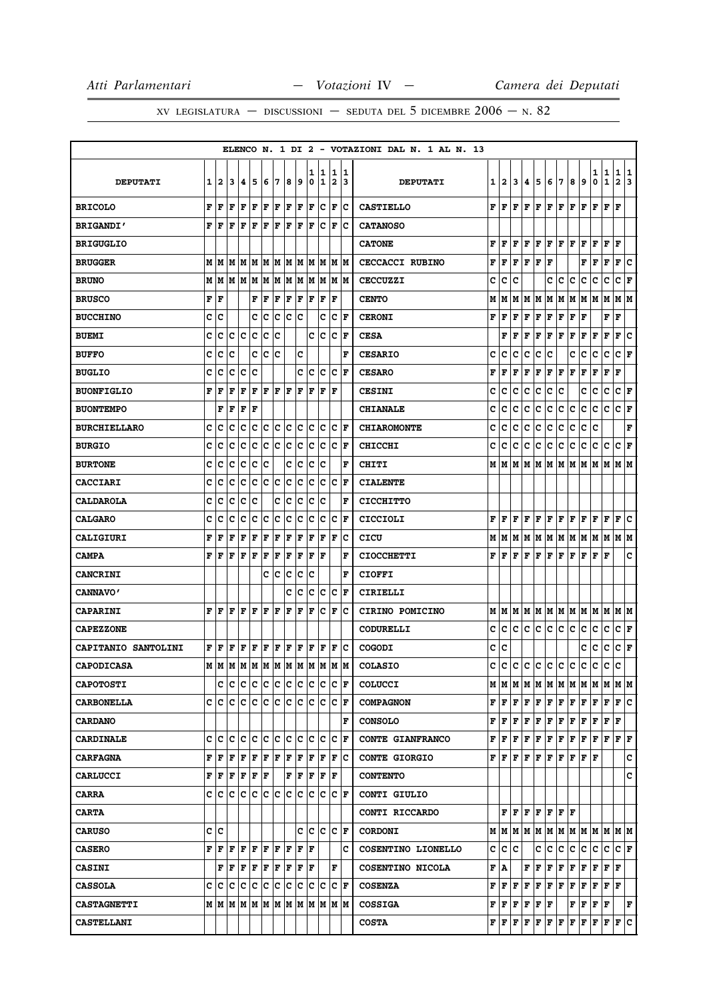XV LEGISLATURA — DISCUSSIONI — SEDUTA DEL 5 DICEMBRE  $2006 - N. 82$ 

|                            |       |      |                                       |                       |                 |                      |     |     |                      |     |       |     |                      | ELENCO N. 1 DI 2 - VOTAZIONI DAL N. 1 AL N. 13 |   |                |   |   |                                                                                                                                                                          |     |                                             |   |                                                                                                                                                                                                                                                                                                                                                                                                                                                                                            |                                           |               |                      |               |
|----------------------------|-------|------|---------------------------------------|-----------------------|-----------------|----------------------|-----|-----|----------------------|-----|-------|-----|----------------------|------------------------------------------------|---|----------------|---|---|--------------------------------------------------------------------------------------------------------------------------------------------------------------------------|-----|---------------------------------------------|---|--------------------------------------------------------------------------------------------------------------------------------------------------------------------------------------------------------------------------------------------------------------------------------------------------------------------------------------------------------------------------------------------------------------------------------------------------------------------------------------------|-------------------------------------------|---------------|----------------------|---------------|
|                            |       |      |                                       |                       |                 |                      |     |     |                      | 1   | 11    |     | 1 1                  |                                                |   |                |   |   |                                                                                                                                                                          |     |                                             |   |                                                                                                                                                                                                                                                                                                                                                                                                                                                                                            | 1                                         |               |                      |               |
| <b>DEPUTATI</b>            | 1     | 12   | 3                                     | 4                     | 5               | 6                    | 17  | 8   | و                    | 0   | 1     | 2   | 13                   | <b>DEPUTATI</b>                                | 1 | $\overline{2}$ | 3 | 4 | 5                                                                                                                                                                        | 6   | 7                                           | 8 | 9                                                                                                                                                                                                                                                                                                                                                                                                                                                                                          | 0                                         | $\frac{1}{1}$ | $\frac{1}{2}$        | $\frac{1}{3}$ |
| <b>BRICOLO</b>             | F     | l F  | F                                     | F F                   |                 | $ {\bf F}  {\bf F} $ |     | F F |                      | F   | c     | F   | c                    | <b>CASTIELLO</b>                               | F | F              | F | F | F                                                                                                                                                                        | F   | F                                           | F | F                                                                                                                                                                                                                                                                                                                                                                                                                                                                                          | F                                         | F             | F                    |               |
| <b>BRIGANDI'</b>           | F     | l F  | F                                     | F                     | l F             | F                    | l F | F   | F                    | ΙF  | c     | ΙF  | lc                   | <b>CATANOSO</b>                                |   |                |   |   |                                                                                                                                                                          |     |                                             |   |                                                                                                                                                                                                                                                                                                                                                                                                                                                                                            |                                           |               |                      |               |
| <b>BRIGUGLIO</b>           |       |      |                                       |                       |                 |                      |     |     |                      |     |       |     |                      | <b>CATONE</b>                                  | F | F              | F | F | F                                                                                                                                                                        | F   | ${\bf F}$ ${\bf F}$                         |   | F                                                                                                                                                                                                                                                                                                                                                                                                                                                                                          | F                                         | F             | F                    |               |
| <b>BRUGGER</b>             |       |      |                                       |                       |                 |                      |     |     |                      |     |       |     |                      | CECCACCI RUBINO                                | F | F              | F | F | F                                                                                                                                                                        | F   |                                             |   | F                                                                                                                                                                                                                                                                                                                                                                                                                                                                                          | F                                         | F             | F C                  |               |
| <b>BRUNO</b>               | M     | lМ   |                                       |                       | M   M   M       | M                    | IМ  |     | M M                  |     | M M   |     | IM IM                | <b>CECCUZZI</b>                                | с | c              | c |   |                                                                                                                                                                          | c   | с                                           | с | c                                                                                                                                                                                                                                                                                                                                                                                                                                                                                          | с                                         | c             | C F                  |               |
| <b>BRUSCO</b>              | F   F |      |                                       |                       | F F             |                      | F   |     | F F                  |     | F F   | F   |                      | <b>CENTO</b>                                   | М | Μ              | М | М | M                                                                                                                                                                        | Μ   |                                             |   | M  M  M  M  M                                                                                                                                                                                                                                                                                                                                                                                                                                                                              |                                           |               | M   M                |               |
| <b>BUCCHINO</b>            | c     | с    |                                       |                       | c               | c                    | с   | c   | Iс                   |     | c     | c   | F                    | <b>CERONI</b>                                  | F | F              | F | F | F                                                                                                                                                                        | F   | F                                           | F | F                                                                                                                                                                                                                                                                                                                                                                                                                                                                                          |                                           | F             | F                    |               |
| <b>BUEMI</b>               | c     | c    | c                                     | Iс                    | c               | c                    | c   |     |                      | c   | c     | c   | ١F                   | <b>CESA</b>                                    |   | F              | F | F | F                                                                                                                                                                        | F   | F                                           | F | F                                                                                                                                                                                                                                                                                                                                                                                                                                                                                          | г                                         | F             | F                    | ∣c            |
| <b>BUFFO</b>               | C     | c    | c                                     |                       | C               | Ιc                   | lc  |     | c                    |     |       |     | F                    | <b>CESARIO</b>                                 | c | c              | c | c | c                                                                                                                                                                        | c   |                                             | c | c                                                                                                                                                                                                                                                                                                                                                                                                                                                                                          | c                                         | c             | C F                  |               |
| <b>BUGLIO</b>              | c     | с    | c                                     | c                     | c               |                      |     |     | c                    | c   | Ιc    | c   | ١F                   | <b>CESARO</b>                                  | F | F              | F | F | F                                                                                                                                                                        | F   | F                                           | F | F                                                                                                                                                                                                                                                                                                                                                                                                                                                                                          | F                                         | F             | F                    |               |
| <b>BUONFIGLIO</b>          | F     | l F  | F                                     | F                     | F               | $F$ $F$ $F$          |     |     | l F                  | F   | F     | ١F  |                      | <b>CESINI</b>                                  | c | c              | с | с | с                                                                                                                                                                        | c   | c                                           |   | с                                                                                                                                                                                                                                                                                                                                                                                                                                                                                          | с                                         | c             | C F                  |               |
| <b>BUONTEMPO</b>           |       | F    | F                                     | F                     | F               |                      |     |     |                      |     |       |     |                      | <b>CHIANALE</b>                                | c | c              | c | с | с                                                                                                                                                                        | c   | с                                           | с | с                                                                                                                                                                                                                                                                                                                                                                                                                                                                                          | с                                         | c             | C F                  |               |
| <b>BURCHIELLARO</b>        | c     | c    | Ιc                                    | c                     | Ιc              | lc.                  | IC. | c c |                      |     | c  c  |     | $ {\bf C}  {\bf F} $ | <b>CHIAROMONTE</b>                             | c | c              | с | с | с                                                                                                                                                                        | с   | c                                           | с | c                                                                                                                                                                                                                                                                                                                                                                                                                                                                                          | c                                         |               |                      | F             |
| <b>BURGIO</b>              | c     | c    | c                                     | c                     | c               | c                    | c   | c   | c                    | c   | c     | Iс  | ١F                   | <b>CHICCHI</b>                                 | c | c              | c | c | с                                                                                                                                                                        | c   | c                                           | с | с                                                                                                                                                                                                                                                                                                                                                                                                                                                                                          | с                                         | с             | с                    | F             |
| <b>BURTONE</b>             | c     | c    | c                                     | c                     | c               | c                    |     | c   | c                    | c   | Ιc    |     | l F                  | <b>CHITI</b>                                   |   | MIM            | M | M | M                                                                                                                                                                        | M   | M M                                         |   | M  M  M                                                                                                                                                                                                                                                                                                                                                                                                                                                                                    |                                           |               | M M                  |               |
| <b>CACCIARI</b>            | c     | c    | c                                     | c                     | c               | lc.                  | c   | Ιc  | Iс                   | lc  | Ιc    | lc. | lF                   | <b>CIALENTE</b>                                |   |                |   |   |                                                                                                                                                                          |     |                                             |   |                                                                                                                                                                                                                                                                                                                                                                                                                                                                                            |                                           |               |                      |               |
| <b>CALDAROLA</b>           | c     | с    | c                                     | c                     | c               |                      | c   | Ιc  | Iс                   | c   | c     |     | l F                  | <b>CICCHITTO</b>                               |   |                |   |   |                                                                                                                                                                          |     |                                             |   |                                                                                                                                                                                                                                                                                                                                                                                                                                                                                            |                                           |               |                      |               |
| <b>CALGARO</b>             | c     | с    | c                                     | Iс                    | Ιc              | Iс                   | Iс  | Ιc  | Iс                   | Iс  | Iс    | ΙC  | ١F                   | CICCIOLI                                       | F | F              | F | F | F                                                                                                                                                                        |     |                                             |   | ${\bf F}\, \, {\bf F}\, \, {\bf F}\, \, {\bf F}\, \, {\bf F}\, $                                                                                                                                                                                                                                                                                                                                                                                                                           |                                           | F             | F                    | ١c            |
| CALIGIURI                  | F     | l F  | F                                     | F                     | F               | F                    | F   | F   | F                    | l F | F     | F   | Ιc                   | CICU                                           | М | м              | М | М | М                                                                                                                                                                        | М   | M                                           | М | M                                                                                                                                                                                                                                                                                                                                                                                                                                                                                          | M                                         | lм            | M   M                |               |
| <b>CAMPA</b>               | F     | ΙF   | F                                     | F F                   |                 | F                    | F   | F F |                      | F   | lF    |     | F                    | <b>CIOCCHETTI</b>                              | F | F              | F | F | F                                                                                                                                                                        | FF  |                                             | F | F                                                                                                                                                                                                                                                                                                                                                                                                                                                                                          | ${\bf F}$ $\bf F$                         |               |                      | c             |
| <b>CANCRINI</b>            |       |      |                                       |                       |                 | c                    | c   | c   | c                    | c   |       |     | F                    | <b>CIOFFI</b>                                  |   |                |   |   |                                                                                                                                                                          |     |                                             |   |                                                                                                                                                                                                                                                                                                                                                                                                                                                                                            |                                           |               |                      |               |
| <b>CANNAVO'</b>            |       |      |                                       |                       |                 |                      |     | c   | c                    | c   | c     | c   | F                    | CIRIELLI                                       |   |                |   |   |                                                                                                                                                                          |     |                                             |   |                                                                                                                                                                                                                                                                                                                                                                                                                                                                                            |                                           |               |                      |               |
| <b>CAPARINI</b>            | F     | l F  | l F                                   | lF.                   | ΙF              | F                    | ١F  | F   | F                    | ΙF  | Ιc    | F   | Ιc                   | CIRINO POMICINO                                | М | M              | M |   |                                                                                                                                                                          |     |                                             |   | M   M   M   M   M   M   M                                                                                                                                                                                                                                                                                                                                                                                                                                                                  |                                           |               | M M                  |               |
| <b>CAPEZZONE</b>           |       |      |                                       |                       |                 |                      |     |     |                      |     |       |     |                      | <b>CODURELLI</b>                               | c | c              | c | c | c                                                                                                                                                                        | c   | lc.                                         | c | с                                                                                                                                                                                                                                                                                                                                                                                                                                                                                          | с                                         | c             | C F                  |               |
| <b>CAPITANIO SANTOLINI</b> | F     | ١F   | F                                     | l F                   | ΙF              | F                    | F   | F F |                      | F   | F     | ΙF  | Ιc                   | COGODI                                         | c | с              |   |   |                                                                                                                                                                          |     |                                             |   | c                                                                                                                                                                                                                                                                                                                                                                                                                                                                                          | c                                         | с             | C F                  |               |
| <b>CAPODICASA</b>          |       |      | M  M  M  M  M  M  M  M  M  M  M  M  M |                       |                 |                      |     |     |                      |     |       |     |                      | <b>COLASIO</b>                                 | с | c              | c | c | c                                                                                                                                                                        |     | c c                                         | c | c                                                                                                                                                                                                                                                                                                                                                                                                                                                                                          | с                                         | c             | c                    |               |
| <b>CAPOTOSTI</b>           |       |      |                                       |                       |                 |                      |     |     |                      |     |       |     | $ {\bf C}  {\bf F} $ | <b>COLUCCI</b>                                 |   | M   M          | М |   |                                                                                                                                                                          |     |                                             |   | M  M  M  M  M  M  M  M  M  M                                                                                                                                                                                                                                                                                                                                                                                                                                                               |                                           |               |                      |               |
| <b>CARBONELLA</b>          | c     | ΙC   | ١c                                    | Ιc                    | ١c              | lc.                  | Iс  | lc. | Iс                   |     | c c   |     | $ {\bf C}  {\bf F} $ | <b>COMPAGNON</b>                               | F | F              | F | F | F                                                                                                                                                                        |     |                                             |   | F   F   F   F   F                                                                                                                                                                                                                                                                                                                                                                                                                                                                          |                                           |               | F C                  |               |
| <b>CARDANO</b>             |       |      |                                       |                       |                 |                      |     |     |                      |     |       |     | l F                  | <b>CONSOLO</b>                                 | F | F              |   |   |                                                                                                                                                                          |     |                                             |   | $\mathbf{F} \left  \mathbf{F} \right. \left  \mathbf{F} \right. \left  \mathbf{F} \right. \left  \mathbf{F} \right. \left  \mathbf{F} \right. \left  \mathbf{F} \right. \left  \mathbf{F} \right. \left  \mathbf{F} \right. \left  \mathbf{F} \right. \left  \mathbf{F} \right. \left  \mathbf{F} \right. \left  \mathbf{F} \right. \left  \mathbf{F} \right. \left  \mathbf{F} \right. \left  \mathbf{F} \right. \left  \mathbf{F} \right. \left  \mathbf{F} \right. \left  \mathbf{F} \$ |                                           |               |                      |               |
| <b>CARDINALE</b>           |       | c c  | lc.                                   |                       | c c c c         |                      |     | c c |                      |     | lc Ic |     | $ {\bf C}  {\bf F} $ | CONTE GIANFRANCO                               | F | F              | F | F | F                                                                                                                                                                        |     |                                             |   | F F F F F F                                                                                                                                                                                                                                                                                                                                                                                                                                                                                |                                           |               | F F                  |               |
| <b>CARFAGNA</b>            | F     | l F  | F                                     | F                     | F               | F                    | F   | F   | F                    | F   | F     | F   | Ιc                   | <b>CONTE GIORGIO</b>                           |   | FF             | F | F | F                                                                                                                                                                        |     |                                             |   | F F F F F                                                                                                                                                                                                                                                                                                                                                                                                                                                                                  |                                           |               |                      | с             |
| <b>CARLUCCI</b>            |       | FF   | F F F F                               |                       |                 |                      |     |     | $ {\bf F}  {\bf F} $ |     | F F F |     |                      | <b>CONTENTO</b>                                |   |                |   |   |                                                                                                                                                                          |     |                                             |   |                                                                                                                                                                                                                                                                                                                                                                                                                                                                                            |                                           |               |                      | c             |
| <b>CARRA</b>               |       | c Ic | le le le le le le le le le            |                       |                 |                      |     |     |                      |     |       |     | IC IF                | CONTI GIULIO                                   |   |                |   |   |                                                                                                                                                                          |     |                                             |   |                                                                                                                                                                                                                                                                                                                                                                                                                                                                                            |                                           |               |                      |               |
| <b>CARTA</b>               |       |      |                                       |                       |                 |                      |     |     |                      |     |       |     |                      | CONTI RICCARDO                                 |   |                |   |   | $F$ $F$ $F$ $F$ $F$ $F$ $F$                                                                                                                                              |     |                                             |   |                                                                                                                                                                                                                                                                                                                                                                                                                                                                                            |                                           |               |                      |               |
| <b>CARUSO</b>              | c c   |      |                                       |                       |                 |                      |     |     | c                    | lc. | lc    |     | IC IF                | <b>CORDONI</b>                                 |   |                |   |   |                                                                                                                                                                          |     |                                             |   | $M$   $M$   $M$   $M$   $M$   $M$   $M$   $M$   $M$   $M$   $M$   $M$                                                                                                                                                                                                                                                                                                                                                                                                                      |                                           |               |                      |               |
| <b>CASERO</b>              | F     | F    | F                                     | $ {\bf F} $ ${\bf F}$ |                 | F                    | F   | F   | lF.                  | ١F  |       |     | c                    | COSENTINO LIONELLO                             | c | c              | c |   | c                                                                                                                                                                        | c   | c.                                          | c | c.                                                                                                                                                                                                                                                                                                                                                                                                                                                                                         | c                                         | c             | $ {\bf C}  {\bf F} $ |               |
| <b>CASINI</b>              |       | F    | F                                     |                       | F F F F F F F F |                      |     |     |                      |     |       | F   |                      | COSENTINO NICOLA                               | F | A              |   | F | F                                                                                                                                                                        |     | $\mathbf{F} \parallel \mathbf{F} \parallel$ |   | ${\bf F} \,   \, {\bf F} \,  $                                                                                                                                                                                                                                                                                                                                                                                                                                                             | ${\bf F} \,   \, {\bf F} \,   \, {\bf F}$ |               |                      |               |
| <b>CASSOLA</b>             |       | c  c | lc.                                   | Ιc                    | c               | Iс                   | ΙC  | Ιc  | Iс                   | Ιc  | Ιc    |     | $ {\bf C}  {\bf F} $ | <b>COSENZA</b>                                 | F | F              | F | F | F                                                                                                                                                                        |     | $\mathbf{F} \mathbf{F} $                    | F | F                                                                                                                                                                                                                                                                                                                                                                                                                                                                                          | F                                         | F F           |                      |               |
| <b>CASTAGNETTI</b>         |       |      |                                       |                       |                 |                      |     |     |                      |     |       |     |                      | <b>COSSIGA</b>                                 |   |                |   |   | $\mathbf{F} \left  \mathbf{F} \right. \left  \mathbf{F} \right. \left  \mathbf{F} \right. \left  \mathbf{F} \right. \left  \mathbf{F} \right. \left  \mathbf{F} \right.$ |     |                                             |   | $\mathbf{F} \left  \mathbf{F} \right  \mathbf{F} \left  \mathbf{F} \right.$                                                                                                                                                                                                                                                                                                                                                                                                                |                                           |               |                      | F             |
| <b>CASTELLANI</b>          |       |      |                                       |                       |                 |                      |     |     |                      |     |       |     |                      | <b>COSTA</b>                                   |   | FF             | F | F | F                                                                                                                                                                        | F F |                                             | F | F                                                                                                                                                                                                                                                                                                                                                                                                                                                                                          | F                                         | F             | F                    | c             |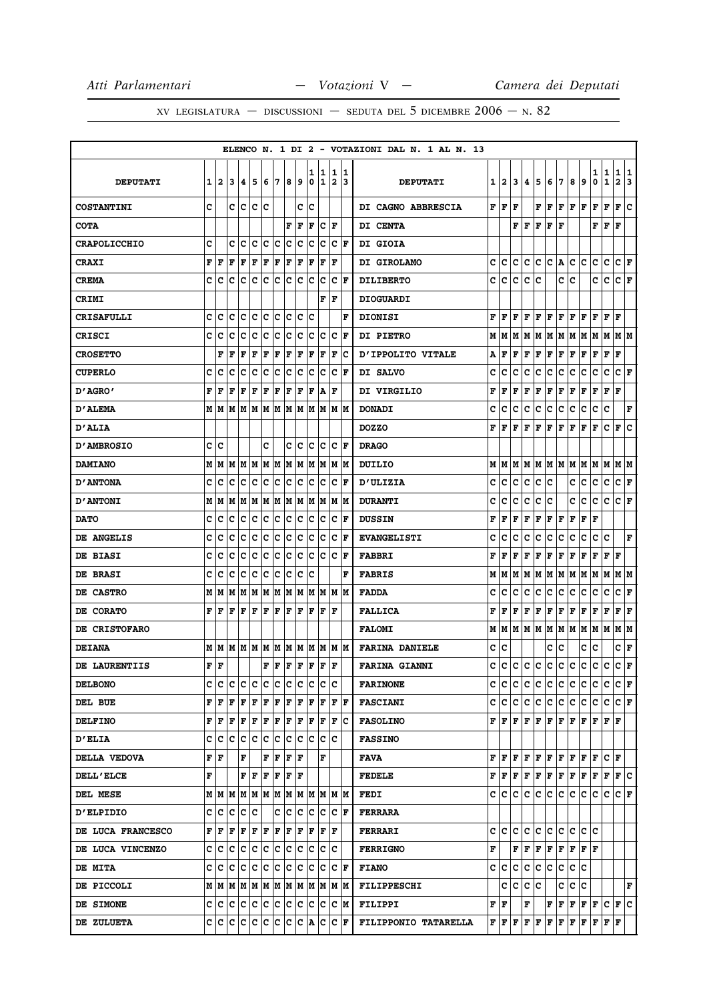|                     |   |     |     |                           |     |     |     |                      |      |     |     |                      |     | ELENCO N. 1 DI 2 - VOTAZIONI DAL N. 1 AL N. 13 |                        |       |     |     |           |                               |     |                                                                                                                                                       |       |                                                                                                                  |                           |                        |     |
|---------------------|---|-----|-----|---------------------------|-----|-----|-----|----------------------|------|-----|-----|----------------------|-----|------------------------------------------------|------------------------|-------|-----|-----|-----------|-------------------------------|-----|-------------------------------------------------------------------------------------------------------------------------------------------------------|-------|------------------------------------------------------------------------------------------------------------------|---------------------------|------------------------|-----|
|                     |   |     |     |                           |     |     |     |                      |      | ı   | 1   | 1                    | 11  |                                                |                        |       |     |     |           |                               |     |                                                                                                                                                       |       | 1                                                                                                                | 1                         | $\mathbf{1}$           | 11  |
| <b>DEPUTATI</b>     | 1 | 2   | 3   | 4                         | 5   | 6   | 17  | 8                    | و    | 0   | 1   | 2                    | 13  | <b>DEPUTATI</b>                                |                        | 1 2   | 3   | 4   | 5         | 6                             | 7   | 8                                                                                                                                                     | 9     | 0                                                                                                                | $\mathbf 1$               | $\mathbf{2}$           | 3   |
| <b>COSTANTINI</b>   | c |     | c   | lc.                       | Iс  | Ιc  |     |                      | c    | lc  |     |                      |     | DI CAGNO ABBRESCIA                             | ${\bf F} \mid {\bf F}$ |       | F   |     | F         | F                             | F   | F                                                                                                                                                     | F     | F                                                                                                                | F                         | F                      | C   |
| <b>COTA</b>         |   |     |     |                           |     |     |     | F                    | F    | l F | c   | F                    |     | DI CENTA                                       |                        |       |     | FF  | F         | F   F                         |     |                                                                                                                                                       |       | F                                                                                                                | lF.                       | l F                    |     |
| <b>CRAPOLICCHIO</b> | C |     | c   | c                         | c   | с   | c   | c                    | c    | c   | с   | с                    | ΙF  | <b>DI GIOIA</b>                                |                        |       |     |     |           |                               |     |                                                                                                                                                       |       |                                                                                                                  |                           |                        |     |
| <b>CRAXI</b>        | F | F   | F   | F                         | F   | F   | F   | F                    | F    | F   | F   | l F                  |     | DI GIROLAMO                                    | c                      | IC.   | c   | с   | lc.       | C A                           |     | c                                                                                                                                                     | lc.   | c                                                                                                                | c                         | C F                    |     |
| <b>CREMA</b>        | c | c   | c   | с                         | c   | c   | c   | c                    | c    | c   | c   | c                    | l F | <b>DILIBERTO</b>                               | c                      | c     | c   | с   | c         |                               | c   | c                                                                                                                                                     |       | c                                                                                                                | c                         | C F                    |     |
| <b>CRIMI</b>        |   |     |     |                           |     |     |     |                      |      |     | F   | l F                  |     | <b>DIOGUARDI</b>                               |                        |       |     |     |           |                               |     |                                                                                                                                                       |       |                                                                                                                  |                           |                        |     |
| <b>CRISAFULLI</b>   | C | c   | C   | C                         | lc  | C   | c   | C                    | c    | c   |     |                      | F   | <b>DIONISI</b>                                 | F                      | l F   | F   | F   | F         | F F                           |     | F                                                                                                                                                     | F     | F                                                                                                                | F                         | l F                    |     |
| <b>CRISCI</b>       | c | c   | c   | c                         | c   | с   | c   | c                    | c    | c   | c   | c                    | ΙF  | <b>DI PIETRO</b>                               |                        | M   M |     |     | M   M   M |                               |     | M   M   M   M                                                                                                                                         |       |                                                                                                                  | M                         | M M                    |     |
| <b>CROSETTO</b>     |   | F   | F   | F                         | F   | F   | F   | F                    | F    | F   | F   | F                    | Iс  | D'IPPOLITO VITALE                              | А                      | F     | F   | F   | F         | F                             | F   | F                                                                                                                                                     | F     | F                                                                                                                | F                         | l F                    |     |
| <b>CUPERLO</b>      | c | c   | c   | с                         | c   | c   | c   | c                    | c    | c   | с   | c                    | l F | DI SALVO                                       | c                      | c     | c   | c   | c         | c                             | c   | c                                                                                                                                                     | с     | с                                                                                                                | c                         | CF                     |     |
| "AGRO מ             | F | F   | F   | F                         | F   | F   | F   | F                    | F    | F   | A   | F                    |     | DI VIRGILIO                                    | F                      | F     | F   | F   | F         | F                             | F   | Г                                                                                                                                                     | F     | F                                                                                                                | F                         | F                      |     |
| <b>D'ALEMA</b>      | М | M   | M   | M                         | M   | M   | M   | M                    | M    | lм  | M   | M                    | M   | <b>DONADI</b>                                  | c                      | c     | c   | c   | c         | с                             | c   | с                                                                                                                                                     | с     | с                                                                                                                | c                         |                        | F   |
| <b>D'ALIA</b>       |   |     |     |                           |     |     |     |                      |      |     |     |                      |     | <b>DOZZO</b>                                   | F                      | l F   | F   | l F | F         | F                             | F   | F                                                                                                                                                     | F     | F                                                                                                                | c                         | F                      | lc. |
| <b>D'AMBROSIO</b>   | c | c   |     |                           |     | c   |     | c                    | c    | c   | c   | Iс                   | ١F  | <b>DRAGO</b>                                   |                        |       |     |     |           |                               |     |                                                                                                                                                       |       |                                                                                                                  |                           |                        |     |
| <b>DAMIANO</b>      | М | M   | M   | M                         | M   | M   | M   | M                    | M    | M   | M   | lМ                   | lМ  | DUILIO                                         | м                      | M     |     |     |           |                               |     | M  M  M  M  M  M  M                                                                                                                                   |       | M                                                                                                                | lм                        | M  M                   |     |
| <b>D'ANTONA</b>     | c | c   | c   | c                         | c   | c   | c   | c                    | c    | c   | c   | c                    | F   | <b>D'ULIZIA</b>                                | с                      | c     | c   | c   | c.        | Iс                            |     | c c                                                                                                                                                   |       | c                                                                                                                | c                         | C F                    |     |
| <b>D'ANTONI</b>     | М | M   | M   | M                         | M   | M   | М   | M                    | M    | M   | M   | M                    | M   | <b>DURANTI</b>                                 | c                      | c     | с   | с   | с         | c                             |     | c                                                                                                                                                     | c     | c                                                                                                                | c                         | C F                    |     |
| <b>DATO</b>         | c | c   | c   | c                         | c   | c   | c   | c                    | c    | c   | c   | c                    | F   | <b>DUSSIN</b>                                  | F                      | F     | F   | F   | F         | F                             | F   | F                                                                                                                                                     | F     | F                                                                                                                |                           |                        |     |
| DE ANGELIS          | c | c   | C   | c                         | c   | c   | c   | c                    | c    | c   | c   | c                    | F   | <b>EVANGELISTI</b>                             | c                      | c     | c   | c   | c         | c                             | c   | c                                                                                                                                                     | c     | с                                                                                                                | c                         |                        | F   |
| <b>DE BIASI</b>     | C | c   | c   | c                         | lc  | c   | c   | lc.                  | c    | c   | c   | c                    | F   | <b>FABBRI</b>                                  | F                      | l F   | F   | F   | F         | F                             | F   | F                                                                                                                                                     | F     | F                                                                                                                | $\mathbf{F}$              | l F                    |     |
| DE BRASI            | c | c   | c   | с                         | c   | с   | c   | c                    | c    | C   |     |                      | F   | <b>FABRIS</b>                                  | м                      | M     | M   | M   |           |                               |     | M  M  M  M  M  M                                                                                                                                      |       |                                                                                                                  | M                         | M M                    |     |
| DE CASTRO           | М | M   | M   | M                         | M   | M   | M   | M                    | M    | M   | M   | M                    | M   | <b>FADDA</b>                                   | c                      | c     | c   | c   | c         | c                             | c   | c                                                                                                                                                     | c     | c                                                                                                                | c                         | C F                    |     |
| DE CORATO           | F | F   | F   | F                         | F   | F   | F   | F                    | F    | F   | F   | F                    |     | <b>FALLICA</b>                                 | F                      | F     | F   | F   | F         | F                             | F   | F                                                                                                                                                     | F     | F                                                                                                                | F                         | ${\bf F}$ ${\bf F}$    |     |
| DE CRISTOFARO       |   |     |     |                           |     |     |     |                      |      |     |     |                      |     | <b>FALOMI</b>                                  |                        |       |     |     |           |                               |     | M   M   M   M   M   M   M   M                                                                                                                         |       | MM                                                                                                               |                           | M M                    |     |
| <b>DEIANA</b>       | M | lМ  | M   | M M                       |     | M   | M   |                      | MM   | M   | M   | M  M                 |     | <b>FARINA DANIELE</b>                          | C C                    |       |     |     |           | c                             | Iс  |                                                                                                                                                       | С     | c                                                                                                                |                           | C F                    |     |
| DE LAURENTIIS       | F | l F |     |                           |     | F   | F   | F                    | F    | F   | F   | l F                  |     | <b>FARINA GIANNI</b>                           |                        |       |     |     |           |                               |     |                                                                                                                                                       |       | c c c c c c c c c c c c c                                                                                        |                           | $ {\bf C}\> {\bf F}\>$ |     |
| <b>DELBONO</b>      | c | c   | c   | с                         | Iс  | c   | lc. | c                    | lc.  | c   | c   | lc                   |     | <b>FARINONE</b>                                |                        | c  c  | lc. | lc. |           |                               |     | c c c c c c                                                                                                                                           |       |                                                                                                                  | $ {\bf C}\, {\bf C}\, $ F |                        |     |
| DEL BUE             | F | F   | F   | F                         | F   | F   | F   | F F                  |      |     | F F | F F                  |     | <b>FASCIANI</b>                                |                        |       |     |     |           |                               |     | c c c c c c c c c c c c                                                                                                                               |       |                                                                                                                  | lc.                       | $ {\bf C}  {\bf F} $   |     |
| <b>DELFINO</b>      | F | F   | l F | F                         | F   | F   | F   | F                    | F    | ΙF  | F   | F                    | Ic  | <b>FASOLINO</b>                                |                        |       |     |     |           |                               |     | $\mathbf{F}\, \,\mathbf{F}\, \,\mathbf{F}\, \,\mathbf{F}\, \,\mathbf{F}\, \,\mathbf{F}\, \,\mathbf{F}\, \,\mathbf{F}\, \,\mathbf{F}\, \,\mathbf{F}\,$ |       |                                                                                                                  | F F                       |                        |     |
| <b>D'ELIA</b>       | c | c c |     | lc.                       | c   | c   | c   | lc.                  | c    | lc. | lc. | ΙC                   |     | <b>FASSINO</b>                                 |                        |       |     |     |           |                               |     |                                                                                                                                                       |       |                                                                                                                  |                           |                        |     |
| DELLA VEDOVA        | F | F   |     | F                         |     | F   | F   | F                    | l F  |     | F   |                      |     | FAVA                                           |                        | FIF   |     |     |           |                               |     | ${\bf F}$ $\bf F$ $\bf F$ $\bf F$ $\bf F$ $\bf F$ $\bf F$ $\bf F$                                                                                     |       |                                                                                                                  | $ {\bf C}  {\bf F} $      |                        |     |
| <b>DELL'ELCE</b>    | F |     |     | $\mathbf{F}   \mathbf{F}$ |     | F   | F   | $ {\bf F}  {\bf F} $ |      |     |     |                      |     | <b>FEDELE</b>                                  |                        |       |     |     |           |                               |     |                                                                                                                                                       |       |                                                                                                                  |                           |                        |     |
| DEL MESE            | м |     | MM  |                           | M M |     | M M |                      |      |     |     | M  M  M  M  M  M     |     | <b>FEDI</b>                                    |                        | C C   | c   | lc. | c         | c                             | ∣c∶ | c.                                                                                                                                                    | IC.   | с                                                                                                                | c                         | $ C $ $\mathbf{F}$     |     |
| <b>D'ELPIDIO</b>    | C | lc. | lc. | с                         | Ιc  |     | c   | c                    | lc.  | c   | lc. | lc.                  | ١F  | <b>FERRARA</b>                                 |                        |       |     |     |           |                               |     |                                                                                                                                                       |       |                                                                                                                  |                           |                        |     |
| DE LUCA FRANCESCO   | F | F   | F   | F                         | F   | F   | F   | F                    | F    | F   | F   | F                    |     | <b>FERRARI</b>                                 |                        | c Ic  | lc. | lc. | lc.       | c c                           |     | lc.                                                                                                                                                   | lc Ic |                                                                                                                  |                           |                        |     |
| DE LUCA VINCENZO    | c | с   | c   | с                         | c   | c   | c   | c                    | с    | c   | c   | Iс                   |     | <b>FERRIGNO</b>                                | F                      |       |     | FF  |           | $ {\bf F}  {\bf F}  {\bf F} $ |     | $F$ $F$ $F$                                                                                                                                           |       |                                                                                                                  |                           |                        |     |
| <b>DE MITA</b>      | c | lc. | lc. | lc.                       | lc. | lc. | lc. | lc.                  | lc.  | Iс  | lc. | $ {\bf C}  {\bf F} $ |     | <b>FIANO</b>                                   |                        | c c c |     | ∣c∶ | c c c     |                               |     | c c                                                                                                                                                   |       |                                                                                                                  |                           |                        |     |
| DE PICCOLI          |   | MM  | lм  |                           | M M | M   | M M |                      | MM   |     | M   | M  M                 |     | FILIPPESCHI                                    |                        | c     | с   | с   | c         |                               | с   | c                                                                                                                                                     | IC.   |                                                                                                                  |                           |                        | F   |
| DE SIMONE           | c | C   | c   | с                         | c   | c   | c   | c                    | c    | IС  | c   | с  м                 |     | <b>FILIPPI</b>                                 | F F                    |       |     | F   |           |                               |     |                                                                                                                                                       |       | $\mathbf{F} \left  \mathbf{F} \right  \mathbf{F} \left  \mathbf{F} \right  \mathbf{F} \left  \mathbf{C} \right $ |                           | F C                    |     |
| <b>DE ZULUETA</b>   | c | ΙC  | lc. | lc.                       | lc. | lc. | lc. | lc.                  | C  A |     | lc. | $ {\bf C}  {\bf F} $ |     | FILIPPONIO TATARELLA                           |                        |       |     |     |           |                               |     |                                                                                                                                                       |       |                                                                                                                  |                           |                        |     |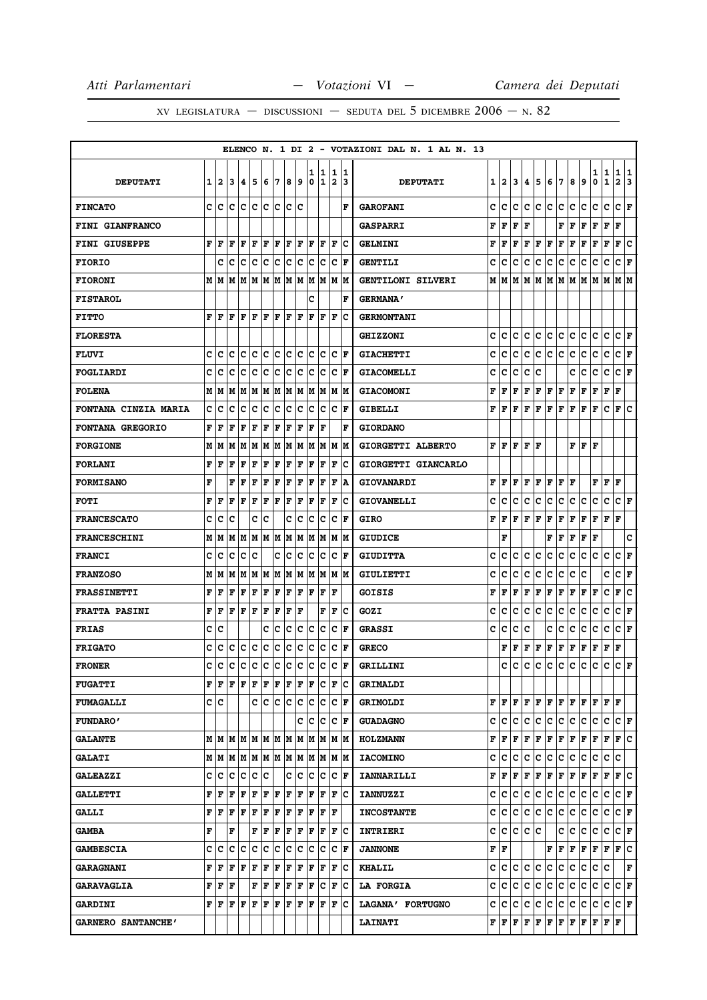|                             |   |                                                           |     |     |             |     |     |                      |      |     |      |                      |                    | ELENCO N. 1 DI 2 - VOTAZIONI DAL N. 1 AL N. 13 |   |                             |   |       |     |             |              |     |              |                    |                                                                                                                                                               |                      |    |
|-----------------------------|---|-----------------------------------------------------------|-----|-----|-------------|-----|-----|----------------------|------|-----|------|----------------------|--------------------|------------------------------------------------|---|-----------------------------|---|-------|-----|-------------|--------------|-----|--------------|--------------------|---------------------------------------------------------------------------------------------------------------------------------------------------------------|----------------------|----|
|                             |   |                                                           |     |     |             |     |     |                      |      | 1   | 1    | 1                    | 1                  |                                                |   |                             |   |       |     |             |              |     |              | 1                  | 1                                                                                                                                                             | 1                    | 1  |
| <b>DEPUTATI</b>             | 1 | $\mathbf{2}$                                              | 13  | 14. | 15          | 6   | 17  | 8                    | و ا  | 0   | 1    | $\overline{2}$       | 13                 | <b>DEPUTATI</b>                                | 1 | $\mathbf{2}$                | 3 | 4     | 5   | 6           | 17           | 8   | 9            | 0                  | $\mathbf{1}$                                                                                                                                                  | $\mathbf{2}$         | 3  |
| <b>FINCATO</b>              |   | c Ic                                                      | ١c  | ١c  | lc          | lc. | lc  | ١c                   | lc   |     |      |                      | F                  | <b>GAROFANI</b>                                | c | c                           | c | c     | lc. | lc.         | lc.          | c   | c            | c                  | c                                                                                                                                                             | C F                  |    |
| FINI GIANFRANCO             |   |                                                           |     |     |             |     |     |                      |      |     |      |                      |                    | <b>GASPARRI</b>                                | F | l F                         | F | l F   |     |             | F            | F   | F            | F                  | F                                                                                                                                                             | l F                  |    |
| FINI GIUSEPPE               | F | F                                                         | l F | F   | l F         | F   | F   | F                    | F    | F   | ΙF   | F                    | lc                 | <b>GELMINI</b>                                 | F | F                           | F | F     | F   | F           | F            | F   | $\mathbf{F}$ | F                  | F                                                                                                                                                             | F                    | c  |
| <b>FIORIO</b>               |   | c                                                         | Ιc  | Ιc  | c           | c   | c   | c                    | c    | c   | Iс   | c                    | lF.                | <b>GENTILI</b>                                 | c | c                           | c | c     | c   | c           | c            | c   | c            | с                  | c                                                                                                                                                             | C F                  |    |
| <b>FIORONI</b>              | М | lм                                                        | M   | lм  | M M         |     | lм  | lм                   | M    | M   | M    | M                    | lм                 | GENTILONI SILVERI                              | М | М                           | М | М     | lм  | м           | lм           | M   | M            | M                  | M                                                                                                                                                             | МM                   |    |
| <b>FISTAROL</b>             |   |                                                           |     |     |             |     |     |                      |      | C   |      |                      | F                  | <b>GERMANA'</b>                                |   |                             |   |       |     |             |              |     |              |                    |                                                                                                                                                               |                      |    |
| <b>FITTO</b>                | F | ١F                                                        | F   | lF. | ١F          | F   | ١F  | l F                  | ١F   | F   | l F  | ΙF                   | Ιc                 | <b>GERMONTANI</b>                              |   |                             |   |       |     |             |              |     |              |                    |                                                                                                                                                               |                      |    |
| <b>FLORESTA</b>             |   |                                                           |     |     |             |     |     |                      |      |     |      |                      |                    | <b>GHIZZONI</b>                                | c | c                           | c | c     | lc. | c           | lc.          | c   | c            | c                  | c                                                                                                                                                             | CF                   |    |
| <b>FLUVI</b>                | c | ١c                                                        | ١c  | Ιc  | Iс          | IC. | Iс  | lc.                  | Iс   | lc. | lc   |                      | C F                | <b>GIACHETTI</b>                               | c | с                           | c | c     | c   | c           | lc.          | c   | c            | c                  | c                                                                                                                                                             | C F                  |    |
| <b>FOGLIARDI</b>            | C | c                                                         | c   | Iс  | c           | Ιc  | c   | c                    | c    | c   | c    | с                    | F                  | <b>GIACOMELLI</b>                              | c | c                           | c | c     | c   |             |              | c   | c            | c                  | с                                                                                                                                                             | с                    | ΙF |
| <b>FOLENA</b>               |   | MM                                                        | lМ  | M   | M           | M   | M   |                      | M  M | M   | lм   |                      | M M                | <b>GIACOMONI</b>                               | F | F                           | F | F     | F   | F           | F            | F   | F            | F                  | F                                                                                                                                                             | ΙF                   |    |
| <b>FONTANA CINZIA MARIA</b> | C | Iс                                                        | c   | Iс  | C           | c   | c   | c                    | c    | C   | c    | c                    | l F                | <b>GIBELLI</b>                                 | F | F                           | F | F     | F   | F           | F            | F   | F            | F                  | c                                                                                                                                                             | F                    | ١c |
| <b>FONTANA GREGORIO</b>     | F | l F                                                       | l F | F   | l F         | ΙF  | l F | l F                  | F    | ΙF  | l F  |                      | F                  | <b>GIORDANO</b>                                |   |                             |   |       |     |             |              |     |              |                    |                                                                                                                                                               |                      |    |
| <b>FORGIONE</b>             |   | MM                                                        | M   | M   | M           |     | M M | M M                  |      |     |      | MMMMM                |                    | GIORGETTI ALBERTO                              | F | lF.                         | F | F   F |     |             |              | F   | F F          |                    |                                                                                                                                                               |                      |    |
| <b>FORLANI</b>              | F | F                                                         | F   | F   | l F         | F   | F   | F                    | F    | F   | ΙF   | F                    | Iс                 | GIORGETTI GIANCARLO                            |   |                             |   |       |     |             |              |     |              |                    |                                                                                                                                                               |                      |    |
| <b>FORMISANO</b>            | F |                                                           | F   | l F | F           | F   | F   | F                    | F    | F   | F    | F                    | ١A                 | <b>GIOVANARDI</b>                              |   | F F F                       |   | lF.   | F   | F           | lF.          | l F |              | F                  | F                                                                                                                                                             | F                    |    |
| <b>FOTI</b>                 | F | F                                                         | F   | F   | l F         | F   | F   | ΙF                   | F    | ΙF  | F    | F                    | Ιc                 | <b>GIOVANELLI</b>                              | c | c                           | c | c     | с   | c           | с            | с   | c            | с                  | с                                                                                                                                                             | C F                  |    |
| <b>FRANCESCATO</b>          | c | c                                                         | c   |     | C           | Ιc  |     | c                    | с    | c   | Ιc   | c                    | lF.                | <b>GIRO</b>                                    | F | F                           | F | F     | F   | $\mathbf F$ | F            | F   | F            | F                  | F                                                                                                                                                             | F                    |    |
| <b>FRANCESCHINI</b>         | М | M                                                         | lМ  | lм  | M           | M M |     | lм                   | lм   | M   | lМ   | M                    | lм                 | <b>GIUDICE</b>                                 |   | F                           |   |       |     | F           | $\mathbf{F}$ | F   | F            | $\mathbf{F}$       |                                                                                                                                                               |                      | C  |
| <b>FRANCI</b>               | c | Iс                                                        | Ιc  | Iс  | Ιc          |     | c   | Iс                   | Iс   | c   | ١c   | c                    | l F                | <b>GIUDITTA</b>                                | c | c                           | c | c     | c   | c           | c            | с   | c            | c                  | c                                                                                                                                                             | c                    | ΙF |
| <b>FRANZOSO</b>             | М | lм                                                        | lМ  | lм  | M M         |     | lм  |                      | M  M | lм  | lМ   |                      | M  M               | <b>GIULIETTI</b>                               | c | c                           | c | c     | c   | c           | c            | c   | c            |                    | c                                                                                                                                                             | с                    | F  |
| <b>FRASSINETTI</b>          | F | F                                                         | F   | F   | l F         | F   | F   | F                    | F    | F   | F    | F                    |                    | GOISIS                                         | F | F                           | F | F     | F   | F           | F            | F   | F            | F                  | c                                                                                                                                                             | F                    | c  |
| <b>FRATTA PASINI</b>        | F | l F                                                       | ١F  | lF. | ١F          | F   | F   | l F                  | ١F   |     | F    | F                    | Ιc                 | GOZI                                           | c | c                           | c | c     | c   | c           | c            | с   | c            | с                  | c                                                                                                                                                             | C F                  |    |
| <b>FRIAS</b>                | C | c                                                         |     |     |             | c   | c   | c                    | c    | c   | Ιc   | с                    | F                  | <b>GRASSI</b>                                  | c | c                           | с | c     |     | c           | с            | c   | c            | с                  | c                                                                                                                                                             | с                    | F  |
| <b>FRIGATO</b>              | C | c                                                         | c   | c   | ∣c          | c   | ∣c  | c                    | c    | c   | c    | c                    | lF.                | <b>GRECO</b>                                   |   | F                           | F | F     | F   | $\mathbf F$ | F            | F   | F            | F                  | F                                                                                                                                                             | F                    |    |
| <b>FRONER</b>               | Ć | c                                                         | c   | c.  | c c         |     | c c |                      | c    | lc  | c    | C                    | F                  | GRILLINI                                       |   | C.                          | C | C.    | lc. | lc.         | lc.          | c.  | lc.          | c                  | lc.                                                                                                                                                           | lc.                  | ١F |
| <b>FUGATTI</b>              |   | ${\bf F} \parallel {\bf F} \parallel {\bf F}$             |     | F F |             | F   | F   | $ {\bf F}  {\bf F} $ |      | F   | Ιc   | F                    | ΙC                 | GRIMALDI                                       |   |                             |   |       |     |             |              |     |              |                    |                                                                                                                                                               |                      |    |
| <b>FUMAGALLI</b>            |   | c  c                                                      |     |     |             |     |     | C C C C C            |      |     | c c  | $ {\bf C}  {\bf F} $ |                    | <b>GRIMOLDI</b>                                |   |                             |   |       |     |             |              |     |              |                    | ${\bf F}\, \, {\bf F}\, \, {\bf F}\, \, {\bf F}\, \, {\bf F}\, \, {\bf F}\, \, {\bf F}\, \, {\bf F}\, \, {\bf F}\, \, {\bf F}\, \, {\bf F}\, \, {\bf F}\, \,$ |                      |    |
| <b>FUNDARO'</b>             |   |                                                           |     |     |             |     |     |                      | c    | Iс  | Iс   |                      | C F                | <b>GUADAGNO</b>                                |   | c  c                        | c | c     | lc. | c           | c            | c   | c            | c                  | c                                                                                                                                                             | $ {\bf C}  {\bf F} $ |    |
| <b>GALANTE</b>              |   | $M$   $M$   $M$   $M$   $M$   $M$   $M$   $M$   $M$   $M$ |     |     |             |     |     |                      |      |     |      |                      | M M                | <b>HOLZMANN</b>                                | F | F                           | F | F F   |     | F F         |              | F F |              | $F$ $F$            |                                                                                                                                                               | F C                  |    |
| <b>GALATI</b>               |   | M   M   M   M   M   M   M   M   M                         |     |     |             |     |     |                      |      |     | M M  |                      | M M                | <b>IACOMINO</b>                                | c | c                           | c | с     | c   | c           | c            | c   | c            | c                  | c                                                                                                                                                             | c                    |    |
| <b>GALEAZZI</b>             |   | c c c                                                     |     | ∣c  | ∣c          | c   |     | с                    | ∣c   | c   | c    | c                    | F                  | <b>IANNARILLI</b>                              | F | F                           | F | F     | F   | F           | F            | F   | F            | F                  | F                                                                                                                                                             | F C                  |    |
| <b>GALLETTI</b>             | F | F                                                         | F   | F   | F           | F   | F   | F                    | F    | lF. | l F  | F                    | Ιc                 | <b>IANNUZZI</b>                                | c | lc.                         | c | c     | c   | c.          | c            | c.  | c            | c                  | c                                                                                                                                                             | C F                  |    |
| <b>GALLI</b>                |   | F  F                                                      | F   | F   | F           | F   | F   | F                    | F    | F   | F    | ΙF                   |                    | <b>INCOSTANTE</b>                              | c | c                           | c | c     | lc. | lc.         | c            | c   | c            | c                  | С                                                                                                                                                             | $ C $ $\mathbf{F}$   |    |
| <b>GAMBA</b>                | F |                                                           | F   |     | $\mathbf F$ | ١F  | F   | F                    | F    | F   | ١F   |                      | $ {\bf F} {\bf C}$ | <b>INTRIERI</b>                                |   | c c c                       |   | c c   |     |             | c            | c   | c            | c                  | c                                                                                                                                                             | C F                  |    |
| <b>GAMBESCIA</b>            |   | c  c                                                      | ١c  | Ιc  | Ιc          | Iс  | ΙC  | Ιc                   | Iс   | Iс  | Iс   |                      | C F                | <b>JANNONE</b>                                 |   | FF                          |   |       |     | F           | F            | F   | F            | F F                |                                                                                                                                                               | F C                  |    |
| <b>GARAGNANI</b>            | F | F                                                         | F   | F F |             | F F |     | F F                  |      |     | F  F | F                    | ΙC                 | <b>KHALIL</b>                                  | c | c c                         |   | ∣c∶   | c   | c.          | c            | c   | c            | c                  | c                                                                                                                                                             |                      | F  |
| <b>GARAVAGLIA</b>           |   | F  F                                                      | l F |     | $\mathbf F$ | F   | F   | F                    | F    | F   | Iс   | F                    | Iс                 | <b>LA FORGIA</b>                               | c | c                           | c | с     | IС  | с           | c            | c   | c            | c                  | c                                                                                                                                                             | $ C $ $\mathbf{F}$   |    |
| <b>GARDINI</b>              |   | F F                                                       | ١F  | lF. | F           | lF. | F   | F                    | F    | lF. | lF   | l F                  | Ιc                 | LAGANA' FORTUGNO                               |   | c c c                       |   | lc.   | c   | c           | c            | c.  | c            | c                  | c                                                                                                                                                             | C F                  |    |
| GARNERO SANTANCHE'          |   |                                                           |     |     |             |     |     |                      |      |     |      |                      |                    | <b>LAINATI</b>                                 |   | ${\bf F}$ $\bf{F}$ $\bf{F}$ |   |       |     | F F F F     |              | F F |              | $\bf F \,   \bf F$ |                                                                                                                                                               | F                    |    |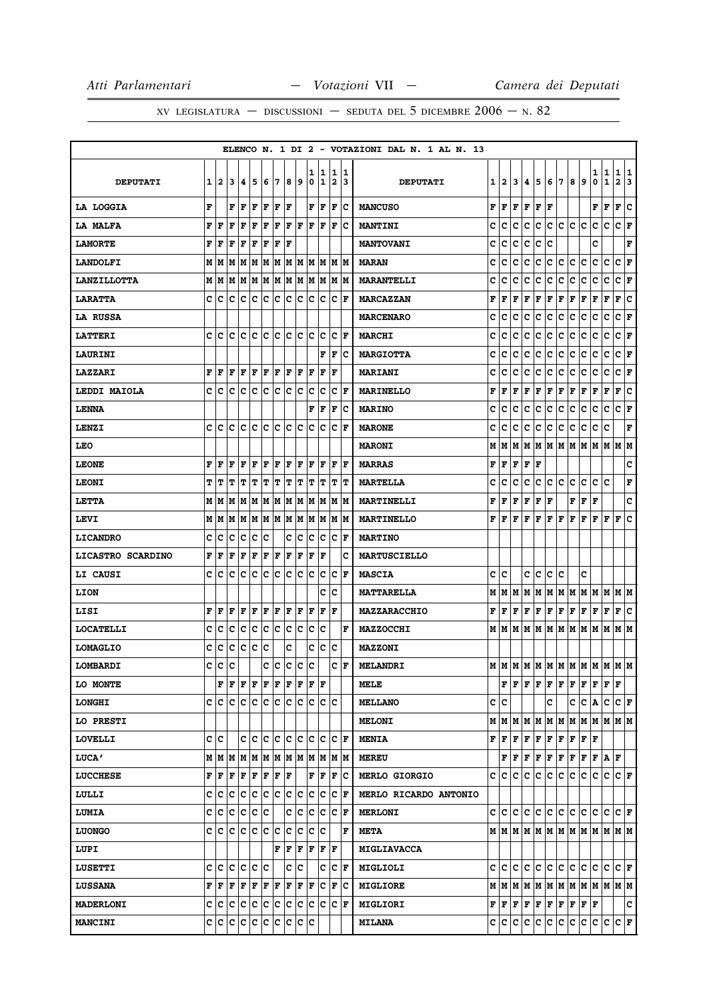|                    |   |                                           |                                                                                                                                                                          |         |     |       |     |         |                        |        |                      |                     |                      | ELENCO N. 1 DI 2 - VOTAZIONI DAL N. 1 AL N. 13 |   |           |                     |                                                                                        |                                                                                        |                       |           |    |                                                                                                                                                                                         |                    |                   |                                          |  |
|--------------------|---|-------------------------------------------|--------------------------------------------------------------------------------------------------------------------------------------------------------------------------|---------|-----|-------|-----|---------|------------------------|--------|----------------------|---------------------|----------------------|------------------------------------------------|---|-----------|---------------------|----------------------------------------------------------------------------------------|----------------------------------------------------------------------------------------|-----------------------|-----------|----|-----------------------------------------------------------------------------------------------------------------------------------------------------------------------------------------|--------------------|-------------------|------------------------------------------|--|
| <b>DEPUTATI</b>    | 1 | 2                                         | 13                                                                                                                                                                       | 14.     | 15  | 6     | 17  | 8       | و                      | ı<br>0 | 1<br>1               | 1<br>$\overline{2}$ | 1<br>13              | <b>DEPUTATI</b>                                |   | 12        | 3 <sup>1</sup>      | 4                                                                                      | 5                                                                                      | 6   7                 |           | 8  | 9                                                                                                                                                                                       | 1<br>0             | 1<br>$\mathbf{1}$ | 1<br> 1<br>$\mathbf{2}$<br>3             |  |
| LA LOGGIA          | F |                                           | F                                                                                                                                                                        | l F     | ΙF  | F     | F   | l F     |                        |        | F  F                 | l F                 | Ιc                   | <b>MANCUSO</b>                                 | F | lF.       | F                   | $\mathbf F$                                                                            | F                                                                                      | l F                   |           |    |                                                                                                                                                                                         | F                  | F                 | F<br>١c                                  |  |
| LA MALFA           | F | ١F                                        | l F                                                                                                                                                                      | F       | ΙF  | F     | F   | F F     |                        | lF.    | ١F                   | ΙF                  | Iс                   | <b>MANTINI</b>                                 | c | c         | c                   | c                                                                                      | c                                                                                      | c.                    | c         | c. | lc.                                                                                                                                                                                     | c                  | c                 | C F                                      |  |
| <b>LAMORTE</b>     | F | l F                                       | F                                                                                                                                                                        | F       | l F | F     | F   | l F     |                        |        |                      |                     |                      | <b>MANTOVANI</b>                               | c | c         | c                   | c                                                                                      | с                                                                                      | c                     |           |    |                                                                                                                                                                                         | c                  |                   | F                                        |  |
| <b>LANDOLFI</b>    |   | $M$   $M$   $M$   $M$   $M$   $M$   $M$   |                                                                                                                                                                          |         |     |       |     |         |                        |        |                      | M  M  M  M  M  M    |                      | <b>MARAN</b>                                   | c | c         | c                   | c                                                                                      | c                                                                                      | c.                    | c         | c. | c                                                                                                                                                                                       | c                  | c                 | $ {\bf C}  {\bf F} $                     |  |
| <b>LANZILLOTTA</b> |   | MM                                        | lм                                                                                                                                                                       | M M M M |     |       |     | MM      |                        | lм     | lм                   |                     | M M                  | <b>MARANTELLI</b>                              | c | c         | c                   | c                                                                                      | с                                                                                      | c                     | c         | с  | c                                                                                                                                                                                       | c                  | c                 | c<br>F                                   |  |
| <b>LARATTA</b>     |   | c Ic                                      | c c c                                                                                                                                                                    |         |     | c c   |     | lc.     | c                      | lc.    | lc                   |                     | $ {\bf C}  {\bf F} $ | <b>MARCAZZAN</b>                               | F | F         | F                   | F                                                                                      | F                                                                                      | F                     | F         | F  | $\mathbf{F}$                                                                                                                                                                            | F                  | F                 | lc.<br>F                                 |  |
| LA RUSSA           |   |                                           |                                                                                                                                                                          |         |     |       |     |         |                        |        |                      |                     |                      | <b>MARCENARO</b>                               | c | c         | c                   | с                                                                                      | c                                                                                      | c                     | c         | c  | с                                                                                                                                                                                       | с                  | c                 | C F                                      |  |
| <b>LATTERI</b>     |   | c Ic                                      | lc.                                                                                                                                                                      | ١c      | lc  | ١c    | lc  | lc Ic   |                        | ΙC     | Iс                   | c                   | lF.                  | <b>MARCHI</b>                                  | c | c         | c                   | c                                                                                      | lc.                                                                                    | c                     | c         | c  | c                                                                                                                                                                                       | c                  | c                 | C F                                      |  |
| <b>LAURINI</b>     |   |                                           |                                                                                                                                                                          |         |     |       |     |         |                        |        | F                    | F                   | ΙC                   | <b>MARGIOTTA</b>                               | c | c         | c                   | c                                                                                      | c                                                                                      | c                     | c         | с  | c                                                                                                                                                                                       | c                  | c                 | $ C $ F                                  |  |
| LAZZARI            | F | F                                         | l F                                                                                                                                                                      | F       | ΙF  | F     | F   | F       | F                      | F      | ΙF                   | F                   |                      | <b>MARIANI</b>                                 | c | c         | c                   | c                                                                                      | с                                                                                      | c                     | с         | с  | с                                                                                                                                                                                       | с                  | с                 | c<br>F                                   |  |
| LEDDI MAIOLA       | c | lc                                        | Iс                                                                                                                                                                       | Ιc      | c   | c     | c   | c       | c                      | c      | c                    | c                   | F                    | <b>MARINELLO</b>                               | F | F         | F                   | F                                                                                      | F                                                                                      | F                     | F         | F  | F                                                                                                                                                                                       | F                  | F                 | F<br> c                                  |  |
| <b>LENNA</b>       |   |                                           |                                                                                                                                                                          |         |     |       |     |         |                        | F      | ΙF                   | F                   | c                    | <b>MARINO</b>                                  | c | c         | c                   | c                                                                                      | с                                                                                      | c                     | с         | с  | c                                                                                                                                                                                       | c                  | c                 | c<br> F                                  |  |
| LENZI              |   | c Ic                                      | lc.                                                                                                                                                                      | lc.     | lc  | lc.   | c   | lc.     | lc                     | c      | lc                   | c                   | F                    | <b>MARONE</b>                                  | c | c         | C                   | c                                                                                      | c                                                                                      | c                     | c         | c  | c                                                                                                                                                                                       | c                  | C                 | $\mathbf F$                              |  |
| <b>LEO</b>         |   |                                           |                                                                                                                                                                          |         |     |       |     |         |                        |        |                      |                     |                      | <b>MARONI</b>                                  | М | M         | lМ                  |                                                                                        |                                                                                        | M   M   M   M   M     |           |    |                                                                                                                                                                                         |                    |                   | MMMM                                     |  |
| <b>LEONE</b>       | F | F                                         | F                                                                                                                                                                        | F       | l F | F     | F   | F       | F                      | F      | ΙF                   | F                   | F                    | <b>MARRAS</b>                                  | F | F         | F                   | $\mathbf F$                                                                            | F                                                                                      |                       |           |    |                                                                                                                                                                                         |                    |                   | c                                        |  |
| <b>LEONI</b>       | т | IΤ                                        | IΤ                                                                                                                                                                       | IТ      | IΤ  | T T   |     | $T$ $T$ |                        | ľТ     | IΤ                   | T                   | IΤ                   | <b>MARTELLA</b>                                | c | с         | c                   | c                                                                                      | c                                                                                      | c                     | lc.       | C  | c                                                                                                                                                                                       | C                  | lc                | F                                        |  |
| LETTA              |   | MIM                                       | lМ                                                                                                                                                                       | lМ      | M   | M     | M   | M M     |                        | lМ     | lМ                   | lм                  | lМ                   | MARTINELLI                                     | F | F         | F                   | F                                                                                      | F                                                                                      | F                     |           | F  | F                                                                                                                                                                                       | F                  |                   | C                                        |  |
| LEVI               |   | M   M   M                                 |                                                                                                                                                                          |         | MM  |       | M M | M M     |                        |        | MM                   |                     | M  M                 | <b>MARTINELLO</b>                              | F | l F       | F                   | lF.                                                                                    | F                                                                                      | F F                   |           | F  | F                                                                                                                                                                                       | $F$ $\overline{F}$ |                   | F<br>١c                                  |  |
| <b>LICANDRO</b>    | c | lc                                        | lc.                                                                                                                                                                      | lc.     | c   | Ιc    |     | c       | Ιc                     | lc.    | lc.                  | c                   | F                    | <b>MARTINO</b>                                 |   |           |                     |                                                                                        |                                                                                        |                       |           |    |                                                                                                                                                                                         |                    |                   |                                          |  |
| LICASTRO SCARDINO  | F | ١F                                        | l F                                                                                                                                                                      | F       | F   | F     | F   | ΙF      | F                      | F      | F                    |                     | c                    | <b>MARTUSCIELLO</b>                            |   |           |                     |                                                                                        |                                                                                        |                       |           |    |                                                                                                                                                                                         |                    |                   |                                          |  |
| LI CAUSI           | c | Iс                                        | lc.                                                                                                                                                                      | lc.     | Ιc  | Ιc    | ΙC  | lc.     | Iс                     | lc.    | Iс                   | c                   | lF.                  | <b>MASCIA</b>                                  | c | ١c        |                     | c                                                                                      | lc.                                                                                    | c                     | lc        |    | c                                                                                                                                                                                       |                    |                   |                                          |  |
| LION               |   |                                           |                                                                                                                                                                          |         |     |       |     |         |                        |        | c                    | c                   |                      | <b>MATTARELLA</b>                              | М | M         | lМ                  | М                                                                                      | M                                                                                      | M                     | M   M   M |    |                                                                                                                                                                                         | M                  | M                 | M  M                                     |  |
| LISI               | F | ١F                                        | F                                                                                                                                                                        | lF.     | ١F  | F F   |     | F F     |                        | F      | lF.                  | ΙF                  |                      | <b>MAZZARACCHIO</b>                            | F | F F       |                     | F F                                                                                    |                                                                                        | F                     | F         | F  | F                                                                                                                                                                                       | F                  | F                 | F C                                      |  |
| <b>LOCATELLI</b>   | c | с                                         | c                                                                                                                                                                        | с       | Iс  | c     | c   | Iс      | c                      | c      | c                    |                     | IF                   | <b>MAZZOCCHI</b>                               |   | MIM       | M                   | M                                                                                      | M                                                                                      | M                     | M M       |    | MM                                                                                                                                                                                      |                    | M                 | M M                                      |  |
| <b>LOMAGLIO</b>    | c | c                                         | c                                                                                                                                                                        | c       | c   | c     |     | c       |                        | с      | c                    | c                   |                      | <b>MAZZONI</b>                                 |   |           |                     |                                                                                        |                                                                                        |                       |           |    |                                                                                                                                                                                         |                    |                   |                                          |  |
| LOMBARDI           | c | c                                         | c                                                                                                                                                                        |         |     | c     | c   | c c     |                        | lc     |                      | C.                  |                      | $F$ MELANDRI                                   |   |           |                     |                                                                                        |                                                                                        |                       |           |    |                                                                                                                                                                                         |                    |                   | м м м м м м м м м м м м                  |  |
| <b>LO MONTE</b>    |   |                                           | $\mathbf{F} \left  \mathbf{F} \right. \left  \mathbf{F} \right. \left  \mathbf{F} \right. \left  \mathbf{F} \right. \left  \mathbf{F} \right. \left  \mathbf{F} \right.$ |         |     |       |     | F F     |                        |        | $ {\bf F}  {\bf F} $ |                     |                      | MELE                                           |   |           |                     |                                                                                        | $\mathbf{F} \left  \mathbf{F} \right  \mathbf{F} \left  \mathbf{F} \right  \mathbf{F}$ |                       | F         | F  | F                                                                                                                                                                                       | F                  | F F               |                                          |  |
| <b>LONGHI</b>      |   | e le le le le le le le le le le le        |                                                                                                                                                                          |         |     |       |     |         |                        |        |                      |                     |                      | <b>MELLANO</b>                                 |   | c c       |                     |                                                                                        |                                                                                        | c                     |           | c  |                                                                                                                                                                                         |                    |                   | C A C C F                                |  |
| LO PRESTI          |   |                                           |                                                                                                                                                                          |         |     |       |     |         |                        |        |                      |                     |                      | <b>MELONI</b>                                  |   | M   M   M |                     | M                                                                                      | M                                                                                      | M M                   |           |    |                                                                                                                                                                                         |                    |                   | M  M  M  M  M  M                         |  |
| <b>LOVELLI</b>     |   | c  c                                      |                                                                                                                                                                          |         |     |       |     |         | c  c  c  c  c  c  c  c |        |                      |                     | $ {\bf C}  {\bf F} $ | <b>MENIA</b>                                   |   |           |                     | $\mathbf{F} \left  \mathbf{F} \right  \mathbf{F} \left  \mathbf{F} \right  \mathbf{F}$ |                                                                                        | F F                   |           |    | F F F                                                                                                                                                                                   |                    |                   |                                          |  |
| <b>LUCA'</b>       |   | M   M   M   M   M   M   M   M   M   M     |                                                                                                                                                                          |         |     |       |     |         |                        |        |                      |                     | M M                  | <b>MEREU</b>                                   |   |           | ${\bf F}$ ${\bf F}$ | F F                                                                                    |                                                                                        | F F F F               |           |    |                                                                                                                                                                                         | F A F              |                   |                                          |  |
| <b>LUCCHESE</b>    |   | ${\bf F}$ $\bf F$ $\bf F$ $\bf F$ $\bf F$ |                                                                                                                                                                          |         |     | F F F |     |         |                        |        | $ {\bf F}  {\bf F} $ | F C                 |                      | <b>MERLO GIORGIO</b>                           |   |           |                     |                                                                                        | c c c c c c                                                                            |                       | lc.       | c. | lc.                                                                                                                                                                                     | С                  |                   | $ C C $ $\mathbf{F}$                     |  |
| LULLI              |   | c c c c c c c c                           |                                                                                                                                                                          |         |     |       |     | c c     |                        | c      | Iс                   | c                   | ١F                   | MERLO RICARDO ANTONIO                          |   |           |                     |                                                                                        |                                                                                        |                       |           |    |                                                                                                                                                                                         |                    |                   |                                          |  |
| <b>LUMIA</b>       |   | c c c c c c                               |                                                                                                                                                                          |         |     |       |     |         | C C                    |        | c c                  |                     | $ {\bf C}  {\bf F} $ | <b>MERLONI</b>                                 |   |           |                     |                                                                                        |                                                                                        | c c c c c c c c c c c |           |    |                                                                                                                                                                                         |                    |                   | IC IC IC IF                              |  |
| <b>LUONGO</b>      |   | c c c c c c c c                           |                                                                                                                                                                          |         |     |       |     | c c     |                        |        | c c                  |                     | F                    | <b>META</b>                                    |   |           |                     |                                                                                        |                                                                                        |                       |           |    |                                                                                                                                                                                         |                    |                   |                                          |  |
| LUPI               |   |                                           |                                                                                                                                                                          |         |     |       |     | F F F   |                        |        | F F                  | F                   |                      | <b>MIGLIAVACCA</b>                             |   |           |                     |                                                                                        |                                                                                        |                       |           |    |                                                                                                                                                                                         |                    |                   |                                          |  |
| <b>LUSETTI</b>     |   | c c c c c c c                             |                                                                                                                                                                          |         |     |       |     |         | C C                    |        | c                    |                     | $ {\bf C}  {\bf F} $ | MIGLIOLI                                       |   |           |                     |                                                                                        |                                                                                        |                       |           |    |                                                                                                                                                                                         |                    |                   | c  c  c  c  c  c  c  c  c  c  c  c  c  F |  |
| <b>LUSSANA</b>     |   | F F                                       | F F F                                                                                                                                                                    |         |     | F F   |     | F F     |                        | F      | Iс                   | F                   | ∣c                   | <b>MIGLIORE</b>                                |   |           |                     |                                                                                        |                                                                                        |                       |           |    |                                                                                                                                                                                         |                    |                   |                                          |  |
| <b>MADERLONI</b>   |   | c c c c c                                 |                                                                                                                                                                          |         |     | c c   |     | c c     |                        | c      | c                    | c                   | F                    | <b>MIGLIORI</b>                                |   |           |                     |                                                                                        |                                                                                        |                       |           |    | $\mathbf{F} \,   \, \mathbf{F} \,   \, \mathbf{F} \,   \, \mathbf{F} \,   \, \mathbf{F} \,   \, \mathbf{F} \,   \, \mathbf{F} \,   \, \mathbf{F} \,   \, \mathbf{F} \,   \, \mathbf{F}$ |                    |                   | c                                        |  |
| <b>MANCINI</b>     |   | C  C C  C C  C C  C C  C                  |                                                                                                                                                                          |         |     |       |     |         |                        |        |                      |                     |                      | <b>MILANA</b>                                  |   |           |                     |                                                                                        |                                                                                        | c c c c c c c c c c c |           |    |                                                                                                                                                                                         | c c                |                   | $ {\bf C}  {\bf F} $                     |  |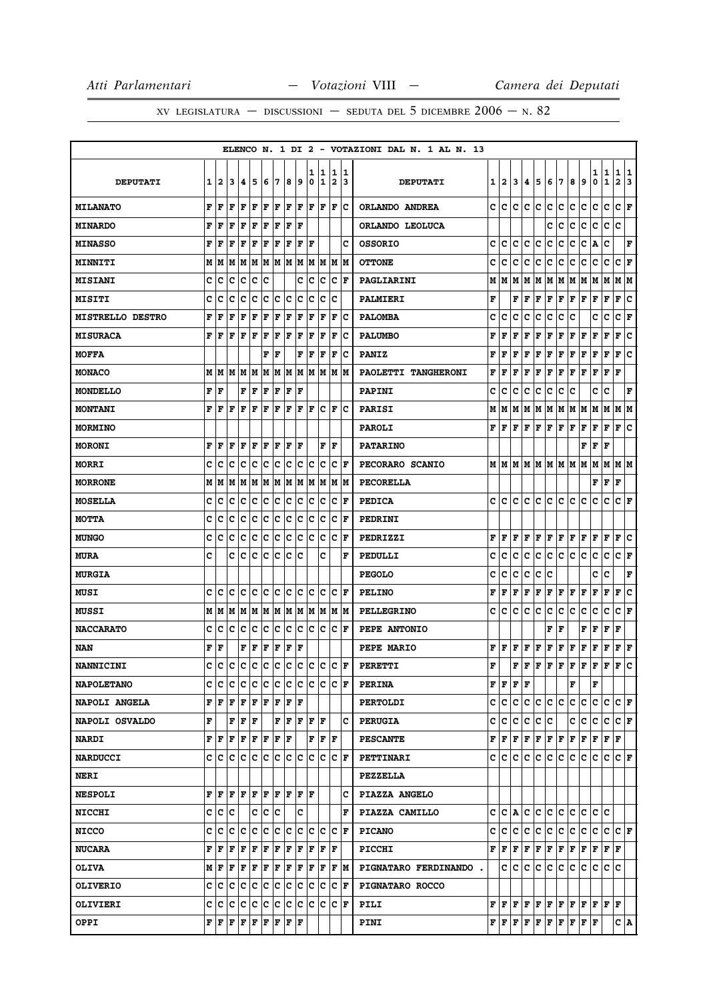|                         |   |              |     |    |     |     |     |     |     |             |                  |                      |         | ELENCO N. 1 DI 2 - VOTAZIONI DAL N. 1 AL N. 13 |   |                                      |     |     |              |              |     |     |                                                                                                                                                                                         |                                                                                                                                                                                                                                                                                              |                   |                      |         |
|-------------------------|---|--------------|-----|----|-----|-----|-----|-----|-----|-------------|------------------|----------------------|---------|------------------------------------------------|---|--------------------------------------|-----|-----|--------------|--------------|-----|-----|-----------------------------------------------------------------------------------------------------------------------------------------------------------------------------------------|----------------------------------------------------------------------------------------------------------------------------------------------------------------------------------------------------------------------------------------------------------------------------------------------|-------------------|----------------------|---------|
| <b>DEPUTATI</b>         | 1 | $\mathbf{2}$ | 3   | 4  | 5   | 6   | 7   | 8   | 9   | 1<br>0      | 1<br>$\mathbf 1$ | 1<br>$\overline{2}$  | 11<br>3 | <b>DEPUTATI</b>                                | 1 | $\mathbf{2}$                         | 3   | 4   | 5            | 6            | 17  | 8   | 9                                                                                                                                                                                       | 1<br>0                                                                                                                                                                                                                                                                                       | 1<br>$\mathbf{1}$ | 1<br>$\mathbf{2}$    | 11<br>3 |
| <b>MILANATO</b>         | F | F            | l F | F  | l F | F   | l F | F   | F   | F           | F                | F                    | Ιc      | ORLANDO ANDREA                                 | c | lc.                                  | c   | c   | lc.          | c            | lc. | c   | с                                                                                                                                                                                       | c                                                                                                                                                                                                                                                                                            | lc.               | C F                  |         |
| <b>MINARDO</b>          | F | F            | F   | F  | F   | F   | F   | F   | ΙF  |             |                  |                      |         | ORLANDO LEOLUCA                                |   |                                      |     |     |              | c            | c   | с   | c                                                                                                                                                                                       | с                                                                                                                                                                                                                                                                                            | c                 | c                    |         |
| <b>MINASSO</b>          | F | F            | F   | F  | F   | F   | F   | F   | F   | F           |                  |                      | C       | <b>OSSORIO</b>                                 | c | c                                    | c   | c   | c            | c            | c   | с   | c                                                                                                                                                                                       | Α                                                                                                                                                                                                                                                                                            | c                 |                      | F       |
| <b>MINNITI</b>          |   | M   M        | M   | M  | M   | M   | M   | M   | M   | M           | M                | M  M                 |         | <b>OTTONE</b>                                  | c | c                                    | c   | c   | c            | с            | c   | с   | с                                                                                                                                                                                       | c                                                                                                                                                                                                                                                                                            | c                 | C F                  |         |
| <b>MISIANI</b>          | c | c            | c   | c  | c   | c   |     |     | c   | c           | c                | c                    | l F     | PAGLIARINI                                     | М | м                                    | M   | M   | M            | M            | M   | M   | M                                                                                                                                                                                       | M                                                                                                                                                                                                                                                                                            | M                 | M                    | M       |
| <b>MISITI</b>           | c | c            | c   | c  | c   | c   | ∣c  | c   | c   | c           | c                | c                    |         | PALMIERI                                       | F |                                      | F   | F   | F            | F            | F   | F   | F                                                                                                                                                                                       | F                                                                                                                                                                                                                                                                                            | F                 | F                    | c       |
| <b>MISTRELLO DESTRO</b> | F | F            | F   | F  | F   | F   | F   | F   | F   | $\mathbf F$ | F                | F                    | c       | <b>PALOMBA</b>                                 | c | c                                    | c   | c   | c            | c            | с   | c   |                                                                                                                                                                                         | c                                                                                                                                                                                                                                                                                            | c                 | c                    | F       |
| <b>MISURACA</b>         | F | F            | F   | F  | F   | F   | F   | F   | F   | F           | F                | $\mathbf F$          | Ιc      | <b>PALUMBO</b>                                 | F | F                                    | F   | F   | F            | $\mathbf F$  | F   | F   | F                                                                                                                                                                                       | F                                                                                                                                                                                                                                                                                            | $\mathbf F$       | F                    | ١c      |
| <b>MOFFA</b>            |   |              |     |    |     | F   | F   |     | F   | l F         | F                | ΙF                   | c       | <b>PANIZ</b>                                   | F | F                                    | F   | F   | F            | F            | F   | F   | F                                                                                                                                                                                       | F                                                                                                                                                                                                                                                                                            | $\mathbf{F}$      | F                    | lc.     |
| <b>MONACO</b>           | М | M            | M   | M  | M   | M   | M   | M   | M   | M           | M                | М                    | M       | PAOLETTI TANGHERONI                            | F | F                                    | F   | F   | $\mathbf{F}$ | $\mathbf F$  | F   | F   | F                                                                                                                                                                                       | F                                                                                                                                                                                                                                                                                            | $\mathbf F$       | F                    |         |
| <b>MONDELLO</b>         | F | l F          |     | F  | F   | F   | F   | F   | F   |             |                  |                      |         | <b>PAPINI</b>                                  | c | c                                    | c   | c   | c            | c            | c   | c   |                                                                                                                                                                                         | c                                                                                                                                                                                                                                                                                            | c                 |                      | F       |
| <b>MONTANI</b>          | F | F            | F   | F  | F   | F   | F   | F   | F   | F           | с                | ΙF                   | с       | <b>PARISI</b>                                  | М | м                                    | M   | м   | M            | M            | M   | M   | M                                                                                                                                                                                       | M                                                                                                                                                                                                                                                                                            | M                 | M                    | lМ      |
| <b>MORMINO</b>          |   |              |     |    |     |     |     |     |     |             |                  |                      |         | <b>PAROLI</b>                                  | F | F                                    | F   | F   | F            | F            | F   | F   | F                                                                                                                                                                                       | F                                                                                                                                                                                                                                                                                            | F                 | F                    | c       |
| <b>MORONI</b>           | F | F            | l F | F  | l F | ΙF  | F   | F   | ΙF  |             | F                | F                    |         | <b>PATARINO</b>                                |   |                                      |     |     |              |              |     |     | F                                                                                                                                                                                       | F                                                                                                                                                                                                                                                                                            | F                 |                      |         |
| <b>MORRI</b>            | c | c            | c   | c  | c   | c   | c   | c   | с   | c           | c                | с                    | ΙF      | PECORARO SCANIO                                |   | MIM                                  | M   | M   | M            | M   M   M    |     |     | M                                                                                                                                                                                       | M                                                                                                                                                                                                                                                                                            | M                 | M  M                 |         |
| <b>MORRONE</b>          | М | M            | M   | M  | M   | M   | M   | M   | M   | M           | M                | М                    | M       | <b>PECORELLA</b>                               |   |                                      |     |     |              |              |     |     |                                                                                                                                                                                         | F                                                                                                                                                                                                                                                                                            | F                 | F                    |         |
| <b>MOSELLA</b>          | c | c            | c   | c  | c   | c   | ∣c  | c   | c   | c           | с                | c                    | l F     | <b>PEDICA</b>                                  | c | c                                    | c   | c   | c            | c            | c   | c   | c                                                                                                                                                                                       | с                                                                                                                                                                                                                                                                                            | с                 | CF                   |         |
| МОТТА                   | c | c            | c   | c  | c   | c   | c   | c   | c   | c           | c                | c                    | F       | <b>PEDRINI</b>                                 |   |                                      |     |     |              |              |     |     |                                                                                                                                                                                         |                                                                                                                                                                                                                                                                                              |                   |                      |         |
| <b>MUNGO</b>            | c | c            | c   | c  | c   | c   | c   | c   | с   | c           | c                | c                    | F       | PEDRIZZI                                       | F | F                                    | F   | F   | F            | F            | Г   | F   | Г                                                                                                                                                                                       | F                                                                                                                                                                                                                                                                                            | F                 | F                    | c       |
| <b>MURA</b>             | c |              | c   | c  | C   | c   | c   | C   | c   |             | c                |                      | F       | PEDULLI                                        | c | c                                    | c   | c   | с            | c            | lc. | c.  | c                                                                                                                                                                                       | с                                                                                                                                                                                                                                                                                            | C                 | C F                  |         |
| <b>MURGIA</b>           |   |              |     |    |     |     |     |     |     |             |                  |                      |         | <b>PEGOLO</b>                                  | c | c                                    | c   | c   | c            | c            |     |     |                                                                                                                                                                                         | c                                                                                                                                                                                                                                                                                            | c                 |                      | F       |
| <b>MUSI</b>             | C | c            | c   | c  | c   | c   | c   | c   | Ιc  | c           | c                | c                    | ΙF      | <b>PELINO</b>                                  | F | F                                    | F   | F   | F            | F            | F   | F   | F                                                                                                                                                                                       | F                                                                                                                                                                                                                                                                                            | F                 | F                    | ١c      |
| MUSSI                   | М | M            | lМ  | M  | M   | M   | M   | M M |     | M           | M                | M M                  |         | <b>PELLEGRINO</b>                              | c | c                                    | с   | c   | c            | $\mathbf{C}$ | c   | c   | c                                                                                                                                                                                       | c                                                                                                                                                                                                                                                                                            | c                 | c                    | F       |
| <b>NACCARATO</b>        | c | c            | c   | c  | c   | c   | ∣c  | c   | c   | c           | c                | c                    | ΙF      | PEPE ANTONIO                                   |   |                                      |     |     |              | F            | F   |     | F                                                                                                                                                                                       | F                                                                                                                                                                                                                                                                                            | F                 | F                    |         |
| NAN                     | F | l F          |     | F  | F   | F   | F   | F   | F   |             |                  |                      |         | PEPE MARIO                                     | F | F                                    | F   | F   | F            | F            | F   | F   | F                                                                                                                                                                                       | F                                                                                                                                                                                                                                                                                            | F                 | $ {\bf F}  {\bf F} $ |         |
| <b>NANNICINI</b>        | c | c            | c   | c  | lc. | c   | c   | c   | c   | c           | c                | c                    | ΙF      | <b>PERETTI</b>                                 | F |                                      | F   | lF. | F            | F            | F   | F   | F                                                                                                                                                                                       | F                                                                                                                                                                                                                                                                                            | $\mathbf F$       | F                    | c       |
| <b>NAPOLETANO</b>       | c | c            | c   | c  | c   | c   | c   | c   | c   | lc.         | lc.              | c                    | F       | <b>PERINA</b>                                  |   | ${\bf F}$ $\bf{F}$ $\bf{F}$ $\bf{F}$ |     |     |              |              |     | F   |                                                                                                                                                                                         | F                                                                                                                                                                                                                                                                                            |                   |                      |         |
| <b>NAPOLI ANGELA</b>    | F | lF           | F   | F  | F   | F   | F   | F   | ١F  |             |                  |                      |         | <b>PERTOLDI</b>                                | c | c                                    | c   | c   | lc.          | c.           | lc. | c   | c                                                                                                                                                                                       | c                                                                                                                                                                                                                                                                                            | lc.               | $ C $ $\mathbf{F}$   |         |
| NAPOLI OSVALDO          | F |              | F   | F  | F   |     | F   | F   | F   | lF.         | lF.              |                      | c       | <b>PERUGIA</b>                                 | c | с                                    | c   | c   | IC.          | c            |     | c   | IС                                                                                                                                                                                      | c                                                                                                                                                                                                                                                                                            | Iс                | C F                  |         |
| <b>NARDI</b>            |   | FF           | F   | F  | F   | F   | F   | F   |     | F           | F                | ١F                   |         | <b>PESCANTE</b>                                | F | F F F F                              |     |     |              | F F          |     | F F |                                                                                                                                                                                         | $ {\bf F}  {\bf F}  {\bf F}$                                                                                                                                                                                                                                                                 |                   |                      |         |
| <b>NARDUCCI</b>         |   | c Ic         | lc. | Iс | Iс  | lc. | lc. | c   | lc. | lc.         | c                | C                    | ١F      | PETTINARI                                      |   | c  c                                 | C   | c   | lC.          | c            | IC. | lc. | c                                                                                                                                                                                       | с                                                                                                                                                                                                                                                                                            | IС                | IC IF                |         |
| <b>NERI</b>             |   |              |     |    |     |     |     |     |     |             |                  |                      |         | <b>PEZZELLA</b>                                |   |                                      |     |     |              |              |     |     |                                                                                                                                                                                         |                                                                                                                                                                                                                                                                                              |                   |                      |         |
| <b>NESPOLI</b>          | F | F            | l F | F  | l F | F   | lF. | lF. | lF. | İΡ          |                  |                      | с       | PIAZZA ANGELO                                  |   |                                      |     |     |              |              |     |     |                                                                                                                                                                                         |                                                                                                                                                                                                                                                                                              |                   |                      |         |
| <b>NICCHI</b>           | c | c            | lc  |    | C   | c   | ١c  |     | C   |             |                  |                      | F       | PIAZZA CAMILLO                                 |   | CCA                                  |     |     | c c          | c c          |     | c c |                                                                                                                                                                                         | c c                                                                                                                                                                                                                                                                                          |                   |                      |         |
| <b>NICCO</b>            | c | c            | c   | Iс | c   | c   | c   | c   | с   | c           | c                | c                    | F       | <b>PICANO</b>                                  | c | с                                    | c   | c   | c            | с            | c.  | c.  | c                                                                                                                                                                                       | c                                                                                                                                                                                                                                                                                            | c                 | IC IF                |         |
| <b>NUCARA</b>           | F | F            | F   | F  | F   | F   | F   | F   | F   | F           | F                | ΙF                   |         | <b>PICCHI</b>                                  |   | FIF                                  | F   | F   | F            | F            | F   | F F |                                                                                                                                                                                         | F                                                                                                                                                                                                                                                                                            | F F               |                      |         |
| <b>OLIVA</b>            |   | MF           | F   | F  | F   | F   | F   | F   | F   | F           | F                | F  M                 |         | PIGNATARO FERDINANDO.                          |   |                                      | c c | lc. | lc.          | ∣c.          | lc. | c.  | lc.                                                                                                                                                                                     | lc.                                                                                                                                                                                                                                                                                          | c c               |                      |         |
| <b>OLIVERIO</b>         | c | ١c           | Iс  | Iс | Iс  | lc. | lc. | lc. | lc. | c           | c                | c                    | F       | <b>PIGNATARO ROCCO</b>                         |   |                                      |     |     |              |              |     |     |                                                                                                                                                                                         |                                                                                                                                                                                                                                                                                              |                   |                      |         |
| <b>OLIVIERI</b>         | с | c            | ١c  | с  | c   | c   | c   | c   | с   | Iс          | Iс               | $ {\bf C}  {\bf F} $ |         | PILI                                           |   |                                      |     |     |              |              |     |     |                                                                                                                                                                                         | ${\bf F}$ $\left  {\bf F} \right.$ $\left  {\bf F} \right.$ $\left  {\bf F} \right.$ $\left  {\bf F} \right.$ $\left  {\bf F} \right.$ $\left  {\bf F} \right.$ $\left  {\bf F} \right.$ $\left  {\bf F} \right.$ $\left  {\bf F} \right.$ $\left  {\bf F} \right.$ $\left  {\bf F} \right.$ |                   |                      |         |
| <b>OPPI</b>             | F | F            | F   | F  | F   | F   | F   | F   | F   |             |                  |                      |         | PINI                                           |   |                                      |     |     |              |              |     |     | $\mathbf{F} \,   \, \mathbf{F} \,   \, \mathbf{F} \,   \, \mathbf{F} \,   \, \mathbf{F} \,   \, \mathbf{F} \,   \, \mathbf{F} \,   \, \mathbf{F} \,   \, \mathbf{F} \,   \, \mathbf{F}$ |                                                                                                                                                                                                                                                                                              |                   | C A                  |         |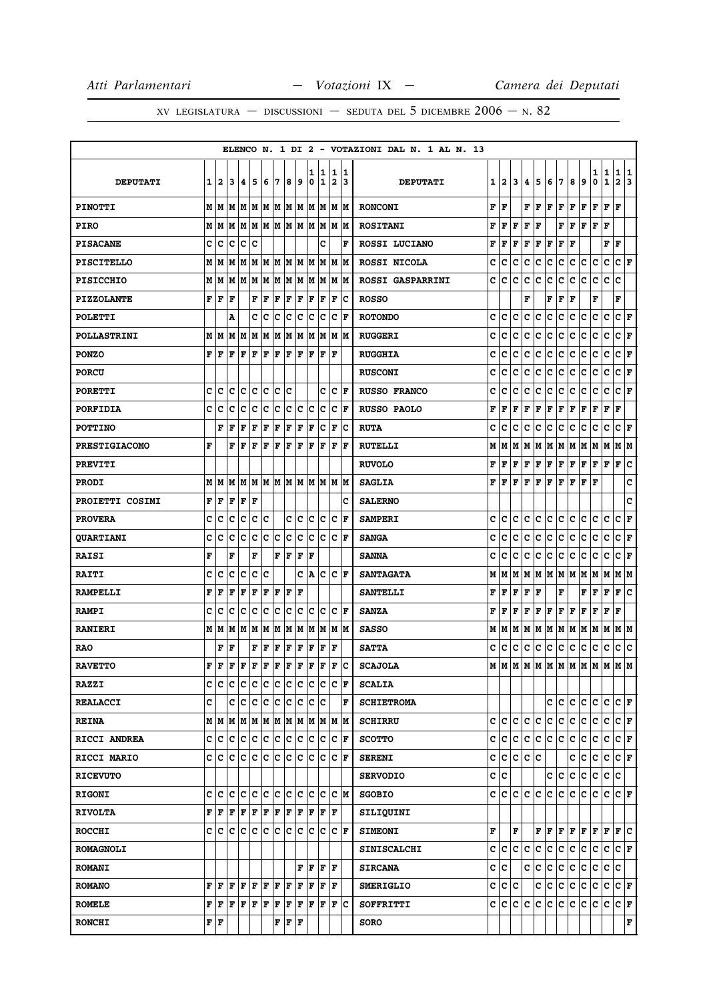|                      |     |              |                                                                                                                                                                                                    |               |         |     |     |     |     |        |         |                      |                      | ELENCO N. 1 DI 2 - VOTAZIONI DAL N. 1 AL N. 13 |   |      |         |     |     |                 |     |     |                                   |        |                   |                          |
|----------------------|-----|--------------|----------------------------------------------------------------------------------------------------------------------------------------------------------------------------------------------------|---------------|---------|-----|-----|-----|-----|--------|---------|----------------------|----------------------|------------------------------------------------|---|------|---------|-----|-----|-----------------|-----|-----|-----------------------------------|--------|-------------------|--------------------------|
| <b>DEPUTATI</b>      | 1   | $\mathbf{2}$ | 3                                                                                                                                                                                                  | 14.           | 15      | 6   | 17  | 8   | و   | 1<br>0 | 11<br>1 | 1<br>2               | 11<br>13             | <b>DEPUTATI</b>                                | 1 | 2    | 3       | 4   | 5   | 6               | 7   | 8   | 9                                 | 1<br>0 | 1<br>$\mathbf{1}$ | 1 1<br>$\mathbf{2}$<br>3 |
| <b>PINOTTI</b>       |     |              |                                                                                                                                                                                                    |               |         |     |     |     |     |        |         |                      |                      | <b>RONCONI</b>                                 | F | l F  |         |     | FF  | F               | F   | F   | $\overline{\mathbf{F}}$           | F      | F<br>F            |                          |
| <b>PIRO</b>          |     |              |                                                                                                                                                                                                    |               |         |     |     |     |     |        |         |                      |                      | <b>ROSITANI</b>                                | F | F    | F       | F   | l F |                 | F   | F   | F                                 | F      | F                 |                          |
| <b>PISACANE</b>      | c   | lc           | c                                                                                                                                                                                                  | Ιc            | Ιc      |     |     |     |     |        | c       |                      | F                    | ROSSI LUCIANO                                  | F | F    | F       | F   | F   | $\mathbf F$     | F   | F   |                                   |        | F<br>ΙF           |                          |
| <b>PISCITELLO</b>    |     |              |                                                                                                                                                                                                    |               |         |     |     |     |     |        |         |                      |                      | ROSSI NICOLA                                   | c | c    | c       | c   | c   | c               | c   | c   | c                                 | c      | c                 | $ C $ $\mathbf{F}$       |
| <b>PISICCHIO</b>     |     | MM           |                                                                                                                                                                                                    | M   M   M     |         | M   | M   |     | M M | lм     | lМ      | M                    | lм                   | <b>ROSSI GASPARRINI</b>                        | c | c    | c       | c   | c   | c               | c   | с   | c                                 | с      | c                 | c                        |
| <b>PIZZOLANTE</b>    |     | f   F        | l F                                                                                                                                                                                                |               | F       | F   | F   | F   | F   | lF.    | F       | F                    | lc                   | <b>ROSSO</b>                                   |   |      |         | F   |     | F               | F   | l F |                                   | F      |                   | F                        |
| <b>POLETTI</b>       |     |              | A                                                                                                                                                                                                  |               | C       | lc  | c   | lc  | lc  | c      | Ιc      | lc.                  | F                    | <b>ROTONDO</b>                                 | C | C    | C       | C   | C   | C               | c   | c   | C                                 | c      | C                 | C F                      |
| <b>POLLASTRINI</b>   |     |              | M   M   M                                                                                                                                                                                          |               | M       | M   | M   | M   | M   | lм     | lМ      |                      | M M                  | <b>RUGGERI</b>                                 | C | C    | C       | c   | C   | c               | c   | с   | c                                 | с      | c                 | CF                       |
| <b>PONZO</b>         | F   | l F          | F                                                                                                                                                                                                  | lF.           | F       | F   | F   | F   | lF. | F      | F       | lF                   |                      | <b>RUGGHIA</b>                                 | c | c    | c       | c   | C   | c               | c   | c   | c                                 | c      | c                 | C F                      |
| <b>PORCU</b>         |     |              |                                                                                                                                                                                                    |               |         |     |     |     |     |        |         |                      |                      | <b>RUSCONI</b>                                 | c | c    | c       | c   | c   | c               | c   | с   | c                                 | с      | c                 | c<br>F                   |
| <b>PORETTI</b>       | c   | Iс           | lc.                                                                                                                                                                                                | lc.           | Iс      | lc. | Iс  | lc  |     |        | c       |                      | C F                  | <b>RUSSO FRANCO</b>                            | c | c    | c       | c   | c   | c               | c   | c   | с                                 | с      | c                 | C F                      |
| <b>PORFIDIA</b>      | C   | c            | C                                                                                                                                                                                                  | Iс            | c       | c   | c   | c   | c   | lc     | Ιc      | c                    | F                    | <b>RUSSO PAOLO</b>                             | F | F    | F       | F   | F   | $\mathbf F$     | F   | F   | F                                 | F      | F<br>F            |                          |
| <b>POTTINO</b>       |     | F            | lF                                                                                                                                                                                                 | lF.           | F       | F   | F   | F   | F   | F      | lc      | $\mathbf F$          | lc                   | <b>RUTA</b>                                    | c | c    | c       | c   | с   | c               | c   | с   | c                                 | c      | $\mathbf C$       | C F                      |
| <b>PRESTIGIACOMO</b> | F   |              | F                                                                                                                                                                                                  | lF.           | l F     | F   | F   | F   | F   | lF.    | F       | l F                  | lF.                  | <b>RUTELLI</b>                                 | М | M    | M       | М   | M   | M M             |     | M   | M                                 | M      | lм                | M M                      |
| <b>PREVITI</b>       |     |              |                                                                                                                                                                                                    |               |         |     |     |     |     |        |         |                      |                      | <b>RUVOLO</b>                                  | F | F    | F       | F   | F   | F               | F   | F   | F                                 | F      | F                 | F<br>١c                  |
| <b>PRODI</b>         |     |              | MMM                                                                                                                                                                                                |               |         |     |     |     |     |        |         | M M M M M M M M M M  |                      | <b>SAGLIA</b>                                  | F | lF.  | F       |     | F F | F               | F   | F   | F                                 | F      |                   | c                        |
| PROIETTI COSIMI      | F   | ١F           | l F                                                                                                                                                                                                | lF.           | l F     |     |     |     |     |        |         |                      | c                    | <b>SALERNO</b>                                 |   |      |         |     |     |                 |     |     |                                   |        |                   | C                        |
| <b>PROVERA</b>       | c   | Iс           | c                                                                                                                                                                                                  | Iс            | c       | Ιc  |     | c   | ∣c  | c      | Iс      | c                    | F                    | <b>SAMPERI</b>                                 | c | c    | c       | c   | c   | c               | c   | c   | c                                 | c      | c                 | c<br>F                   |
| <b>QUARTIANI</b>     | c   | c            | c                                                                                                                                                                                                  | Iс            | c       | c   | c   | c   | c   | c      | Ιc      | c                    | l F                  | <b>SANGA</b>                                   | c | c    | c       | c   | с   | c               | c   | c   | c                                 | c      | c                 | c<br>F                   |
| <b>RAISI</b>         | F   |              | F                                                                                                                                                                                                  |               | F       |     | F   | l F | F   | F      |         |                      |                      | <b>SANNA</b>                                   | c | c    | c       | c   | c   | $\mathbf c$     | c   | c   | c                                 | c      | c                 | CF                       |
| <b>RAITI</b>         | c   | c            | c                                                                                                                                                                                                  | Iс            | Ιc      | Ιc  |     |     | c   | A      | Iс      | c                    | ١F                   | <b>SANTAGATA</b>                               | М | м    | M       | М   | M   | M M             |     | M   | M                                 | M      | M                 | MM                       |
| <b>RAMPELLI</b>      | F   | F            | F                                                                                                                                                                                                  | F             | F       | F   | F   | F   | F   |        |         |                      |                      | <b>SANTELLI</b>                                | F | F    | F       | F   | l F |                 | F   |     | F                                 | F      | F                 | ١c<br>F                  |
| <b>RAMPI</b>         | c   | c            | Ιc                                                                                                                                                                                                 | Ιc            | lc      | Ιc  | ١c  | Ιc  | Iс  | lc.    | Iс      | c                    | ١F                   | <b>SANZA</b>                                   | F | F    | F       | F   | F   | F               | F   | F   | F                                 | F      | F<br>l F          |                          |
| <b>RANIERI</b>       |     | MM           |                                                                                                                                                                                                    | MMM           |         | M   | lМ  | M M |     | M      | M       |                      | M M                  | <b>SASSO</b>                                   | М | lМ   | lМ      | М   | M   | M               | M   | M   | M                                 | M      | M                 | M  M                     |
| <b>RAO</b>           |     | F            | lF                                                                                                                                                                                                 |               | F       | lF. | F   | F   | F   | F      | F       | ΙF                   |                      | <b>SATTA</b>                                   | c | lc.  | c       | с   | IC. | c               | c   | c   | c                                 | c      | c                 | c c                      |
| <b>RAVETTO</b>       | F   | F            | $\mathbf F$                                                                                                                                                                                        | l F           | l F     | lF. | l F | F   | F   | F      | F       | $\mathbf F$          | lc                   | <b>SCAJOLA</b>                                 | М |      |         |     |     |                 |     |     | M   M   M   M   M   M   M   M   M |        |                   | M M                      |
| <b>RAZZI</b>         |     |              | c c c c c c c c c c                                                                                                                                                                                |               |         |     |     |     |     |        | c c     |                      | $ {\bf C}  {\bf F} $ | <b>SCALIA</b>                                  |   |      |         |     |     |                 |     |     |                                   |        |                   |                          |
| <b>REALACCI</b>      | c   |              |                                                                                                                                                                                                    | c c c c c c c |         |     |     |     |     |        | c c     |                      | F                    | <b>SCHIETROMA</b>                              |   |      |         |     |     | с               | lc. | c.  | lc.                               | IС     | lc.               | $ C $ $\mathbf{F}$       |
| <b>REINA</b>         |     |              | M   M   M   M   M   M   M   M   M   M                                                                                                                                                              |               |         |     |     |     |     |        |         |                      | M M                  | <b>SCHIRRU</b>                                 |   | c  c | c       | c   | lc. | c               | c   | lc. | lc.                               | c      | c                 | C F                      |
| RICCI ANDREA         |     |              | c c c c c c c c c c c c c                                                                                                                                                                          |               |         |     |     |     |     |        |         | $ {\bf C}  {\bf F} $ |                      | <b>SCOTTO</b>                                  |   |      |         |     |     | c c c c c c c c |     | c.  | lc.                               | С      | lc.               | $ {\bf C}  {\bf F} $     |
| RICCI MARIO          |     |              | c lc lc l                                                                                                                                                                                          |               | c c c c |     |     | c c |     | IC.    | Ιc      | c                    | ١F                   | <b>SERENI</b>                                  | c | IC.  | c.      | ∣c. | с   |                 |     | c   | c                                 | c      | С                 | C F                      |
| <b>RICEVUTO</b>      |     |              |                                                                                                                                                                                                    |               |         |     |     |     |     |        |         |                      |                      | <b>SERVODIO</b>                                |   | c c  |         |     |     | c c             |     | c.  | c                                 | c      | c.                | lc.                      |
| <b>RIGONI</b>        |     | c  c  c      |                                                                                                                                                                                                    | c c           |         | c c |     | c c |     | lc.    | c       | c                    | lм                   | <b>SGOBIO</b>                                  |   |      | c  c  c | lc. | lc. | c               | lc. | c.  | lc.                               | c      | c                 | C F                      |
| <b>RIVOLTA</b>       |     |              | ${\bf F}\, \,{\bf F}\, \,{\bf F}\, \,{\bf F}\, \,{\bf F}\, \,{\bf F}\, \,{\bf F}\, $                                                                                                               |               |         |     |     | F F |     |        | F F     | ١F                   |                      | SILIQUINI                                      |   |      |         |     |     |                 |     |     |                                   |        |                   |                          |
| <b>ROCCHI</b>        |     |              | C C C C C C C C C                                                                                                                                                                                  |               |         |     |     |     |     |        | c c     |                      | $ {\bf C}  {\bf F} $ | <b>SIMEONI</b>                                 | F |      | F       |     |     | F F F F F       |     |     |                                   |        |                   | F F F C                  |
| <b>ROMAGNOLI</b>     |     |              |                                                                                                                                                                                                    |               |         |     |     |     |     |        |         |                      |                      | <b>SINISCALCHI</b>                             | c | lc.  | lc.     | c   | lc. | $\mathbf c$     | c   | c.  | lc.                               | c      | c                 | $ {\bf C}  {\bf F} $     |
| <b>ROMANI</b>        |     |              |                                                                                                                                                                                                    |               |         |     |     |     |     |        |         | F F F F              |                      | <b>SIRCANA</b>                                 |   | c c  |         |     | c c | c.              | c   | c.  | c                                 |        | c c c             |                          |
| <b>ROMANO</b>        |     | F  F         | F                                                                                                                                                                                                  | F F           |         | F F |     | F   | F   | F      | l F     | ΙF                   |                      | <b>SMERIGLIO</b>                               | c | IC.  | c       |     | с   | с               | c   | c   | c                                 | c      | c                 | C F                      |
| <b>ROMELE</b>        |     |              | $\mathbf{F} \left  \mathbf{F} \right. \left  \mathbf{F} \right. \left  \mathbf{F} \right. \left  \mathbf{F} \right. \left  \mathbf{F} \right. \left  \mathbf{F} \right. \left  \mathbf{F} \right.$ |               |         |     |     | F F |     | F      | F       |                      | $ {\bf F} {\bf C}$   | SOFFRITTI                                      |   | c c  |         | c c | c   | c               | c   | lc. | c                                 | c      | lc.               | $ {\bf C}  {\bf F} $     |
| <b>RONCHI</b>        | F F |              |                                                                                                                                                                                                    |               |         |     | F   | ΙF  | F   |        |         |                      |                      | <b>SORO</b>                                    |   |      |         |     |     |                 |     |     |                                   |        |                   | F                        |